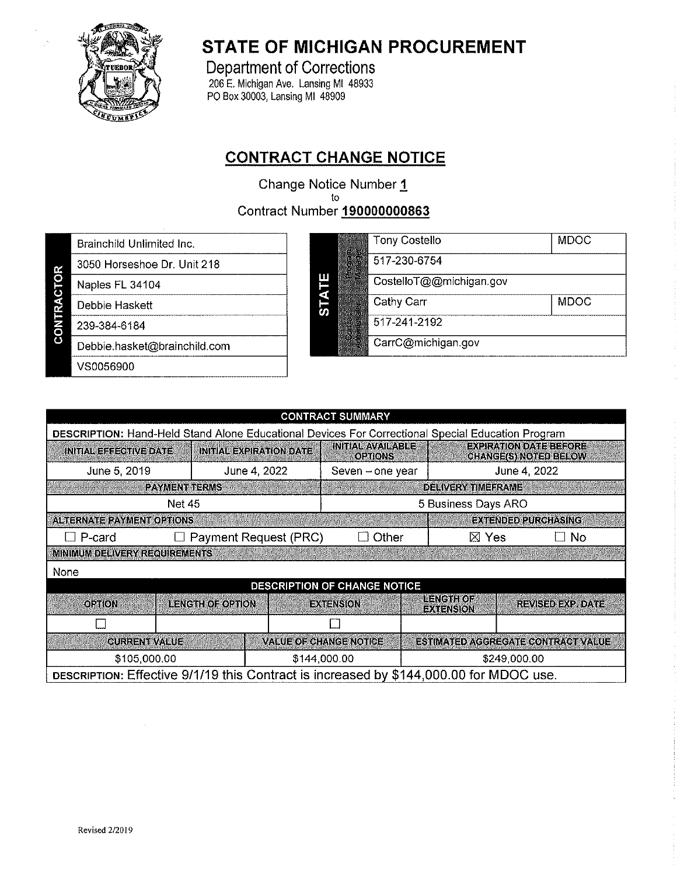

# **STATE OF MICHIGAN PROCUREMENT**

**Department of Corrections** 206 E. Michigan Ave. Lansing MI 48933<br>PO Box 30003, Lansing MI 48909

## **CONTRACT CHANGE NOTICE**

Change Notice Number 1 to **Contract Number 190000000863** 

Brainchild Unlimited Inc.

3050 Horseshoe Dr. Unit 218

Naples FL 34104

Debbie Haskett

**CONTRACTOR** 239-384-6184

Debbie.hasket@brainchild.com

VS0056900

|         | <b>Tony Costello</b>    | <b>MDOC</b> |
|---------|-------------------------|-------------|
|         | 517-230-6754            |             |
|         | CostelloT@@michigan.gov |             |
|         | Cathy Carr              | <b>MDOC</b> |
| 腦<br>S. | 517-241-2192            |             |
|         | CarrC@michigan.gov      |             |

| <b>CONTRACT SUMMARY</b>                                                                           |                                                   |                                |                                            |  |                              |                                                        |      |
|---------------------------------------------------------------------------------------------------|---------------------------------------------------|--------------------------------|--------------------------------------------|--|------------------------------|--------------------------------------------------------|------|
| DESCRIPTION: Hand-Held Stand Alone Educational Devices For Correctional Special Education Program |                                                   |                                |                                            |  |                              |                                                        |      |
| <b>INITIAL EFFECTIVE DATE</b>                                                                     |                                                   | <b>INITIAL EXPIRATION DATE</b> | <b>INITIAL AVAILABLE</b><br><b>OPTIONS</b> |  |                              | <b>EXPIRATION DATE BEFORE</b><br>CHANGE(S) NOTED BELOW |      |
| June 5, 2019                                                                                      |                                                   | June 4, 2022                   | Seven – one year                           |  |                              | June 4, 2022                                           |      |
|                                                                                                   | <b>PAYMENT TERMS</b><br><b>DELIVERY TIMEFRAME</b> |                                |                                            |  |                              |                                                        |      |
| <b>Net 45</b>                                                                                     |                                                   |                                | 5 Business Days ARO                        |  |                              |                                                        |      |
| <b>ALTERNATE PAYMENT OPTIONS</b>                                                                  |                                                   |                                |                                            |  |                              | EXTENDED PURCHASING                                    |      |
| P-card                                                                                            |                                                   | Payment Request (PRC)          | Other                                      |  | $\boxtimes$ Yes              |                                                        | ∃ No |
| MINIMUM DELIVERY REQUIREMENTS                                                                     |                                                   |                                |                                            |  |                              |                                                        |      |
| None                                                                                              |                                                   |                                |                                            |  |                              |                                                        |      |
|                                                                                                   |                                                   |                                | DESCRIPTION OF CHANGE NOTICE               |  |                              |                                                        |      |
| <b>OPTION</b>                                                                                     | <b>LENGTH OF OPTION</b>                           |                                | <b>EXTENSION</b>                           |  | LENGTHOF<br><b>EXTENSION</b> | REVISED EXP. DATE                                      |      |
|                                                                                                   |                                                   |                                |                                            |  |                              |                                                        |      |
| <b><i>QURRENT VALUE</i></b>                                                                       |                                                   |                                | <b>VALUE OF CHANGE NOTICE</b>              |  |                              | <b>ESTIMATED AGGREGATE CONTRACT VALUE</b>              |      |
| \$105,000.00<br>\$144,000.00<br>\$249,000.00                                                      |                                                   |                                |                                            |  |                              |                                                        |      |
| DESCRIPTION: Effective 9/1/19 this Contract is increased by \$144,000.00 for MDOC use.            |                                                   |                                |                                            |  |                              |                                                        |      |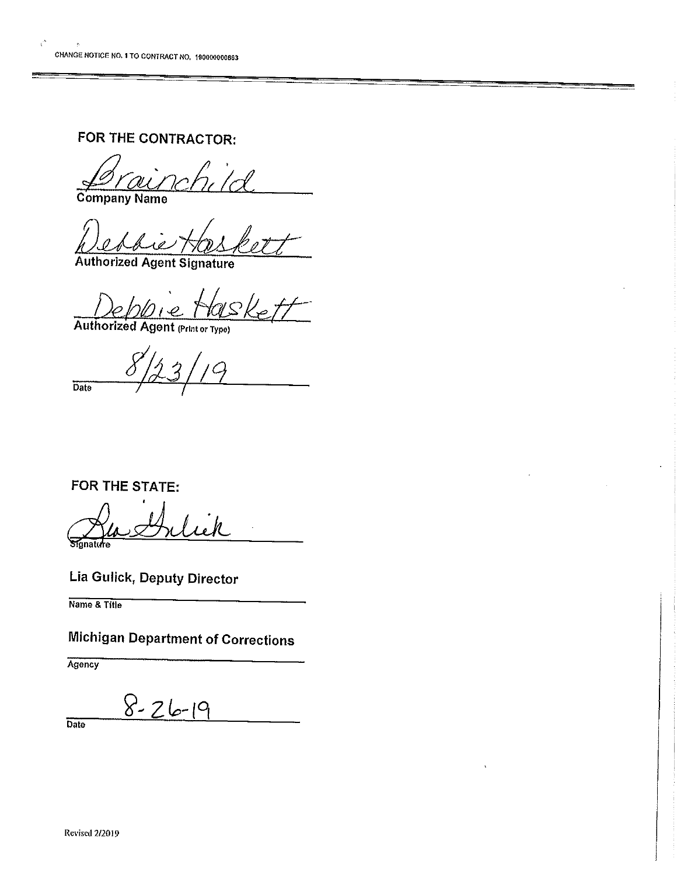$\vec{v}^*$ 

FOR THE CONTRACTOR:

Company Name

**Authorized Agent Signature** 

Authorized Agent (Print or Type)

 $\overline{Date}$ 

FOR THE STATE:

fanature

Lia Gulick, Deputy Director

Name & Title

**Michigan Department of Corrections** 

Agency

 $8 - 26 - 19$ 

Date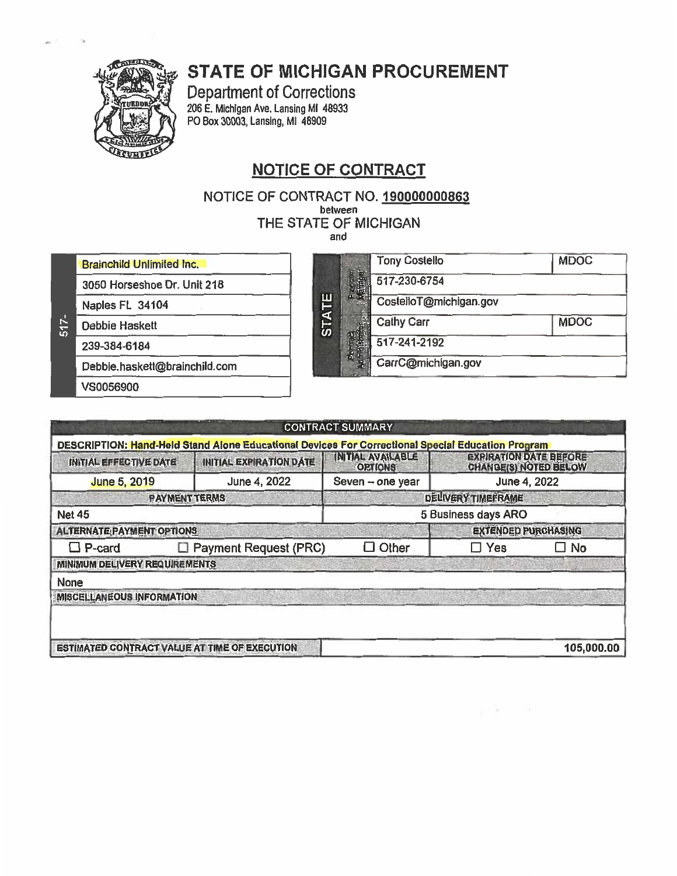# **STATE OF MICHIGAN PROCUREMENT**



Department of Corrections<br>206 E. Michigan Ave. Lansing MI 48933 PO Box 30003, Lansing, MI 48909

## **NOTICE OF CONTRACT**

NOTICE OF CONTRACT NO. 1900000000863

between

THE STATE OF MICHIGAN

and

**Brainchild Unlimited Inc.** 

3050 Horseshoe Dr. Unit 218

Naples FL 34104

Debbie Haskett

 $517 -$ 

239-384-6184

Debbie.haskett@brainchild.com

VS0056900

|              | <b>Tony Costello</b>   | <b>MDOC</b> |
|--------------|------------------------|-------------|
|              | 517-230-6754           |             |
|              | CostelloT@michigan.gov |             |
| <b>STATE</b> | <b>Cathy Carr</b>      | <b>MDOC</b> |
|              | 517-241-2192           |             |
|              | CarrC@michigan.gov     |             |

 $\mathbb{R}$  , and  $\mathbb{R}$ 

| INITIAL EFFECTIVE DATE           | <b>INITIALEXPIRATION DATE</b> | DESCRIPTION: Hand-Held Stand Alone Educational Devices For Correctional Special Education Program<br><b>INITIAL AVAIL ABLE</b><br><b>ORTIONS</b> | EXPIRATION DATE BEFORE     |  |
|----------------------------------|-------------------------------|--------------------------------------------------------------------------------------------------------------------------------------------------|----------------------------|--|
| <b>June 5, 2019</b>              | June 4, 2022                  | Seven - one year                                                                                                                                 | June 4, 2022               |  |
|                                  | <b>PAYMENT TERMS</b>          |                                                                                                                                                  | DELIVERY TIMEFRAME         |  |
| <b>Net 45</b>                    |                               | 5 Business days ARO                                                                                                                              |                            |  |
| <b>ALTERNATE PAYMENT OPTIONS</b> |                               |                                                                                                                                                  | <b>EXTENDED PURCHASING</b> |  |
| $\Box$ P-card<br>⊔               | <b>Payment Request (PRC)</b>  | Other<br>11                                                                                                                                      | Yes<br>$\square$ No        |  |
| MINIMUM DELIVERY REQUIREMENTS    |                               |                                                                                                                                                  |                            |  |
| None                             |                               |                                                                                                                                                  |                            |  |
| <b>MISCELLANEOUS INFORMATION</b> |                               |                                                                                                                                                  |                            |  |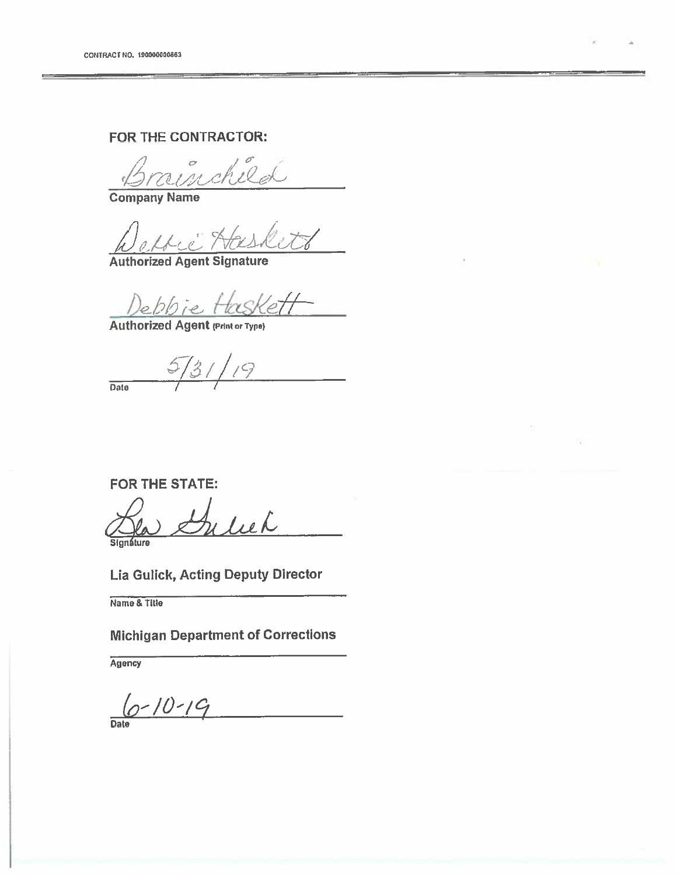## FOR THE CONTRACTOR:

Brainchild

**Company Name** 

<u>Weller Hask</u><br>Authorized Agent Signature

Debbie Haskett

 $5/31/19$ Date

**FOR THE STATE:** 

Guliek Sianáture

Lia Gulick, Acting Deputy Director

Name & Title

**Michigan Department of Corrections** 

**Agency** 

 $6 - 10 - 19$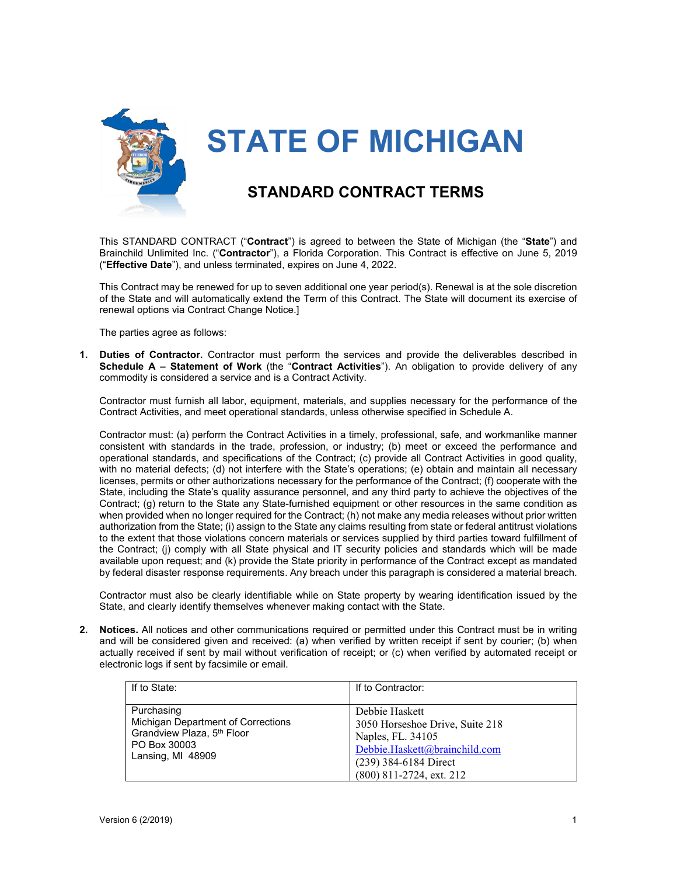

**STATE OF MICHIGAN**

## **STANDARD CONTRACT TERMS**

This STANDARD CONTRACT ("**Contract**") is agreed to between the State of Michigan (the "**State**") and Brainchild Unlimited Inc. ("**Contractor**"), a Florida Corporation. This Contract is effective on June 5, 2019 ("**Effective Date**"), and unless terminated, expires on June 4, 2022.

This Contract may be renewed for up to seven additional one year period(s). Renewal is at the sole discretion of the State and will automatically extend the Term of this Contract. The State will document its exercise of renewal options via Contract Change Notice.]

The parties agree as follows:

**1. Duties of Contractor.** Contractor must perform the services and provide the deliverables described in **Schedule A – Statement of Work** (the "**Contract Activities**"). An obligation to provide delivery of any commodity is considered a service and is a Contract Activity.

Contractor must furnish all labor, equipment, materials, and supplies necessary for the performance of the Contract Activities, and meet operational standards, unless otherwise specified in Schedule A.

Contractor must: (a) perform the Contract Activities in a timely, professional, safe, and workmanlike manner consistent with standards in the trade, profession, or industry; (b) meet or exceed the performance and operational standards, and specifications of the Contract; (c) provide all Contract Activities in good quality, with no material defects; (d) not interfere with the State's operations; (e) obtain and maintain all necessary licenses, permits or other authorizations necessary for the performance of the Contract; (f) cooperate with the State, including the State's quality assurance personnel, and any third party to achieve the objectives of the Contract; (g) return to the State any State-furnished equipment or other resources in the same condition as when provided when no longer required for the Contract; (h) not make any media releases without prior written authorization from the State; (i) assign to the State any claims resulting from state or federal antitrust violations to the extent that those violations concern materials or services supplied by third parties toward fulfillment of the Contract; (j) comply with all State physical and IT security policies and standards which will be made available upon request; and (k) provide the State priority in performance of the Contract except as mandated by federal disaster response requirements. Any breach under this paragraph is considered a material breach.

Contractor must also be clearly identifiable while on State property by wearing identification issued by the State, and clearly identify themselves whenever making contact with the State.

**2. Notices.** All notices and other communications required or permitted under this Contract must be in writing and will be considered given and received: (a) when verified by written receipt if sent by courier; (b) when actually received if sent by mail without verification of receipt; or (c) when verified by automated receipt or electronic logs if sent by facsimile or email.

| If to State:                                                                                                                    | If to Contractor:                                                                                                                                                |
|---------------------------------------------------------------------------------------------------------------------------------|------------------------------------------------------------------------------------------------------------------------------------------------------------------|
| Purchasing<br>Michigan Department of Corrections<br>Grandview Plaza, 5 <sup>th</sup> Floor<br>PO Box 30003<br>Lansing, MI 48909 | Debbie Haskett<br>3050 Horseshoe Drive, Suite 218<br>Naples, FL. 34105<br>Debbie.Haskett@brainchild.com<br>$(239)$ 384-6184 Direct<br>$(800)$ 811-2724, ext. 212 |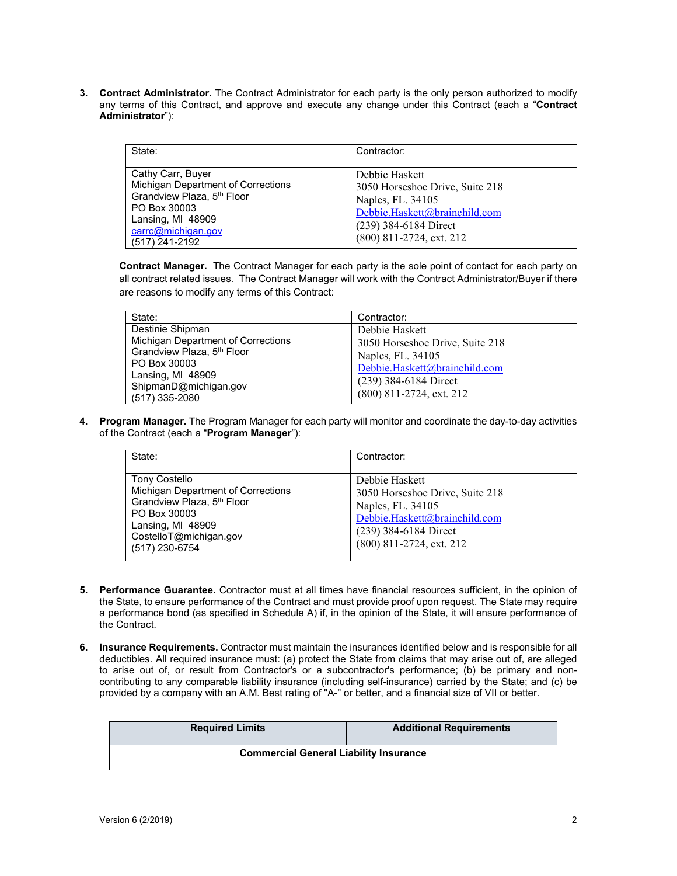**3. Contract Administrator.** The Contract Administrator for each party is the only person authorized to modify any terms of this Contract, and approve and execute any change under this Contract (each a "**Contract Administrator**"):

| State:                                                                                                                                                                         | Contractor:                                                                                                                                                  |
|--------------------------------------------------------------------------------------------------------------------------------------------------------------------------------|--------------------------------------------------------------------------------------------------------------------------------------------------------------|
| Cathy Carr, Buyer<br>Michigan Department of Corrections<br>Grandview Plaza, 5 <sup>th</sup> Floor<br>PO Box 30003<br>Lansing, MI 48909<br>carrc@michigan.gov<br>(517) 241-2192 | Debbie Haskett<br>3050 Horseshoe Drive, Suite 218<br>Naples, FL. 34105<br>Debbie.Haskett@brainchild.com<br>(239) 384-6184 Direct<br>(800) 811-2724, ext. 212 |

**Contract Manager.** The Contract Manager for each party is the sole point of contact for each party on all contract related issues. The Contract Manager will work with the Contract Administrator/Buyer if there are reasons to modify any terms of this Contract:

| State:                                 | Contractor:                     |
|----------------------------------------|---------------------------------|
| Destinie Shipman                       | Debbie Haskett                  |
| Michigan Department of Corrections     | 3050 Horseshoe Drive, Suite 218 |
| Grandview Plaza, 5 <sup>th</sup> Floor | Naples, FL. 34105               |
| PO Box 30003                           | Debbie.Haskett@brainchild.com   |
| Lansing, MI 48909                      | (239) 384-6184 Direct           |
| ShipmanD@michigan.gov                  |                                 |
| (517) 335-2080                         | (800) 811-2724, ext. 212        |

**4. Program Manager.** The Program Manager for each party will monitor and coordinate the day-to-day activities of the Contract (each a "**Program Manager**"):

| State:                                                                                                                                                                                | Contractor:                                                                                                                                                    |
|---------------------------------------------------------------------------------------------------------------------------------------------------------------------------------------|----------------------------------------------------------------------------------------------------------------------------------------------------------------|
| <b>Tony Costello</b><br>Michigan Department of Corrections<br>Grandview Plaza, 5 <sup>th</sup> Floor<br>PO Box 30003<br>Lansing, MI 48909<br>CostelloT@michigan.gov<br>(517) 230-6754 | Debbie Haskett<br>3050 Horseshoe Drive, Suite 218<br>Naples, FL. 34105<br>Debbie.Haskett@brainchild.com<br>(239) 384-6184 Direct<br>$(800)$ 811-2724, ext. 212 |

- **5. Performance Guarantee.** Contractor must at all times have financial resources sufficient, in the opinion of the State, to ensure performance of the Contract and must provide proof upon request. The State may require a performance bond (as specified in Schedule A) if, in the opinion of the State, it will ensure performance of the Contract.
- **6. Insurance Requirements.** Contractor must maintain the insurances identified below and is responsible for all deductibles. All required insurance must: (a) protect the State from claims that may arise out of, are alleged to arise out of, or result from Contractor's or a subcontractor's performance; (b) be primary and noncontributing to any comparable liability insurance (including self-insurance) carried by the State; and (c) be provided by a company with an A.M. Best rating of "A-" or better, and a financial size of VII or better.

| <b>Required Limits</b>                        | <b>Additional Requirements</b> |  |
|-----------------------------------------------|--------------------------------|--|
| <b>Commercial General Liability Insurance</b> |                                |  |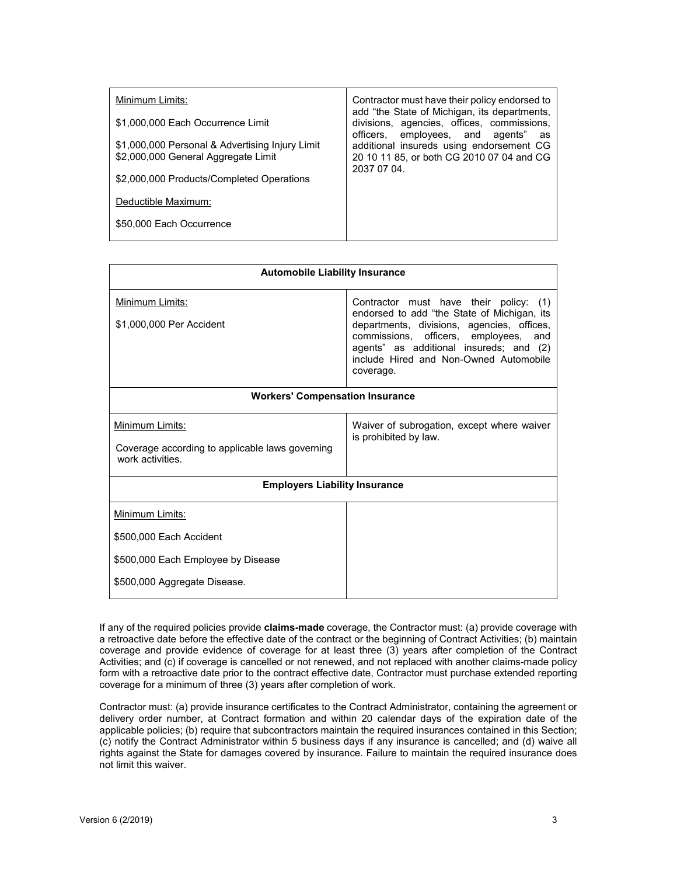| Minimum Limits:                                                                        | Contractor must have their policy endorsed to                                                                                  |
|----------------------------------------------------------------------------------------|--------------------------------------------------------------------------------------------------------------------------------|
| \$1,000,000 Each Occurrence Limit                                                      | add "the State of Michigan, its departments,<br>divisions, agencies, offices, commissions,<br>officers, employees, and agents" |
| \$1,000,000 Personal & Advertising Injury Limit<br>\$2,000,000 General Aggregate Limit | as<br>additional insureds using endorsement CG<br>20 10 11 85, or both CG 2010 07 04 and CG<br>2037 07 04.                     |
| \$2,000,000 Products/Completed Operations                                              |                                                                                                                                |
| Deductible Maximum:                                                                    |                                                                                                                                |
| \$50,000 Each Occurrence                                                               |                                                                                                                                |

| <b>Automobile Liability Insurance</b>                                                  |                                                                                                                                                                                                                                                                                   |  |
|----------------------------------------------------------------------------------------|-----------------------------------------------------------------------------------------------------------------------------------------------------------------------------------------------------------------------------------------------------------------------------------|--|
| Minimum Limits:<br>\$1,000,000 Per Accident                                            | Contractor must have their policy: (1)<br>endorsed to add "the State of Michigan, its<br>departments, divisions, agencies, offices,<br>commissions, officers, employees,<br>and<br>agents" as additional insureds; and (2)<br>include Hired and Non-Owned Automobile<br>coverage. |  |
| <b>Workers' Compensation Insurance</b>                                                 |                                                                                                                                                                                                                                                                                   |  |
| Minimum Limits:<br>Coverage according to applicable laws governing<br>work activities. | Waiver of subrogation, except where waiver<br>is prohibited by law.                                                                                                                                                                                                               |  |
| <b>Employers Liability Insurance</b>                                                   |                                                                                                                                                                                                                                                                                   |  |
| Minimum Limits:                                                                        |                                                                                                                                                                                                                                                                                   |  |
| \$500,000 Each Accident                                                                |                                                                                                                                                                                                                                                                                   |  |
| \$500,000 Each Employee by Disease                                                     |                                                                                                                                                                                                                                                                                   |  |
| \$500,000 Aggregate Disease.                                                           |                                                                                                                                                                                                                                                                                   |  |

If any of the required policies provide **claims-made** coverage, the Contractor must: (a) provide coverage with a retroactive date before the effective date of the contract or the beginning of Contract Activities; (b) maintain coverage and provide evidence of coverage for at least three (3) years after completion of the Contract Activities; and (c) if coverage is cancelled or not renewed, and not replaced with another claims-made policy form with a retroactive date prior to the contract effective date, Contractor must purchase extended reporting coverage for a minimum of three (3) years after completion of work.

Contractor must: (a) provide insurance certificates to the Contract Administrator, containing the agreement or delivery order number, at Contract formation and within 20 calendar days of the expiration date of the applicable policies; (b) require that subcontractors maintain the required insurances contained in this Section; (c) notify the Contract Administrator within 5 business days if any insurance is cancelled; and (d) waive all rights against the State for damages covered by insurance. Failure to maintain the required insurance does not limit this waiver.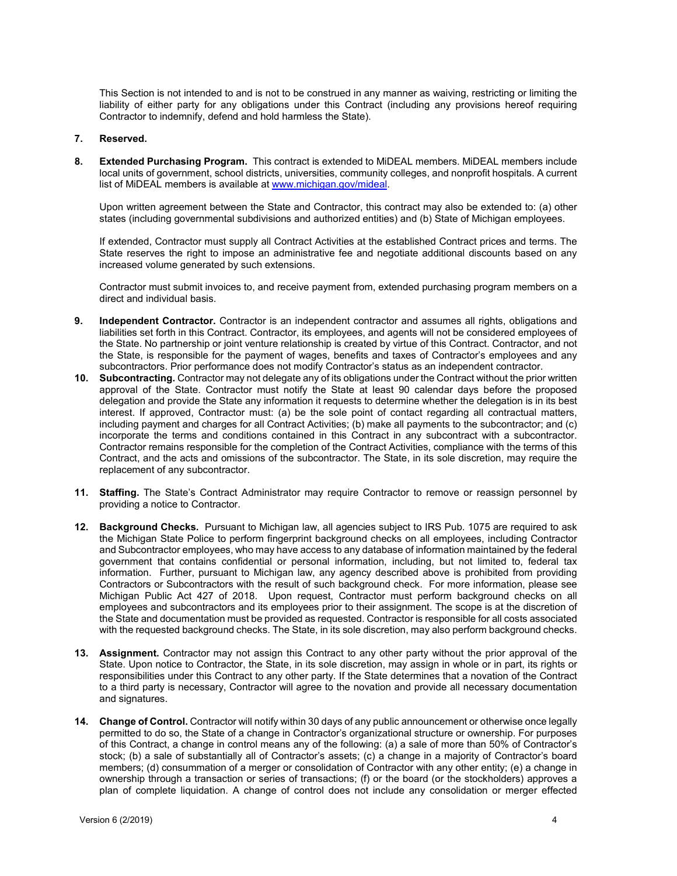This Section is not intended to and is not to be construed in any manner as waiving, restricting or limiting the liability of either party for any obligations under this Contract (including any provisions hereof requiring Contractor to indemnify, defend and hold harmless the State).

#### **7. Reserved.**

**8. Extended Purchasing Program.** This contract is extended to MiDEAL members. MiDEAL members include local units of government, school districts, universities, community colleges, and nonprofit hospitals. A current list of MiDEAL members is available at [www.michigan.gov/mideal.](http://www.michigan.gov/mideal)

Upon written agreement between the State and Contractor, this contract may also be extended to: (a) other states (including governmental subdivisions and authorized entities) and (b) State of Michigan employees.

If extended, Contractor must supply all Contract Activities at the established Contract prices and terms. The State reserves the right to impose an administrative fee and negotiate additional discounts based on any increased volume generated by such extensions.

Contractor must submit invoices to, and receive payment from, extended purchasing program members on a direct and individual basis.

- **9. Independent Contractor.** Contractor is an independent contractor and assumes all rights, obligations and liabilities set forth in this Contract. Contractor, its employees, and agents will not be considered employees of the State. No partnership or joint venture relationship is created by virtue of this Contract. Contractor, and not the State, is responsible for the payment of wages, benefits and taxes of Contractor's employees and any subcontractors. Prior performance does not modify Contractor's status as an independent contractor.
- **10. Subcontracting.** Contractor may not delegate any of its obligations under the Contract without the prior written approval of the State. Contractor must notify the State at least 90 calendar days before the proposed delegation and provide the State any information it requests to determine whether the delegation is in its best interest. If approved, Contractor must: (a) be the sole point of contact regarding all contractual matters, including payment and charges for all Contract Activities; (b) make all payments to the subcontractor; and (c) incorporate the terms and conditions contained in this Contract in any subcontract with a subcontractor. Contractor remains responsible for the completion of the Contract Activities, compliance with the terms of this Contract, and the acts and omissions of the subcontractor. The State, in its sole discretion, may require the replacement of any subcontractor.
- **11. Staffing.** The State's Contract Administrator may require Contractor to remove or reassign personnel by providing a notice to Contractor.
- **12. Background Checks.** Pursuant to Michigan law, all agencies subject to IRS Pub. 1075 are required to ask the Michigan State Police to perform fingerprint background checks on all employees, including Contractor and Subcontractor employees, who may have access to any database of information maintained by the federal government that contains confidential or personal information, including, but not limited to, federal tax information. Further, pursuant to Michigan law, any agency described above is prohibited from providing Contractors or Subcontractors with the result of such background check. For more information, please see Michigan Public Act 427 of 2018. Upon request, Contractor must perform background checks on all employees and subcontractors and its employees prior to their assignment. The scope is at the discretion of the State and documentation must be provided as requested. Contractor is responsible for all costs associated with the requested background checks. The State, in its sole discretion, may also perform background checks.
- **13. Assignment.** Contractor may not assign this Contract to any other party without the prior approval of the State. Upon notice to Contractor, the State, in its sole discretion, may assign in whole or in part, its rights or responsibilities under this Contract to any other party. If the State determines that a novation of the Contract to a third party is necessary, Contractor will agree to the novation and provide all necessary documentation and signatures.
- **14. Change of Control.** Contractor will notify within 30 days of any public announcement or otherwise once legally permitted to do so, the State of a change in Contractor's organizational structure or ownership. For purposes of this Contract, a change in control means any of the following: (a) a sale of more than 50% of Contractor's stock; (b) a sale of substantially all of Contractor's assets; (c) a change in a majority of Contractor's board members; (d) consummation of a merger or consolidation of Contractor with any other entity; (e) a change in ownership through a transaction or series of transactions; (f) or the board (or the stockholders) approves a plan of complete liquidation. A change of control does not include any consolidation or merger effected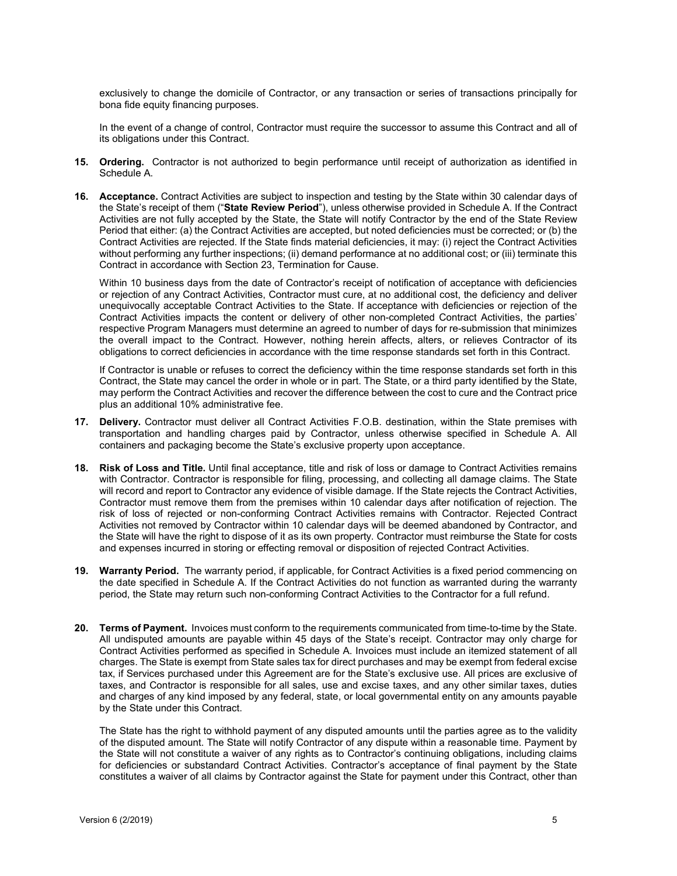exclusively to change the domicile of Contractor, or any transaction or series of transactions principally for bona fide equity financing purposes.

In the event of a change of control, Contractor must require the successor to assume this Contract and all of its obligations under this Contract.

- **15. Ordering.** Contractor is not authorized to begin performance until receipt of authorization as identified in Schedule A.
- **16. Acceptance.** Contract Activities are subject to inspection and testing by the State within 30 calendar days of the State's receipt of them ("**State Review Period**"), unless otherwise provided in Schedule A. If the Contract Activities are not fully accepted by the State, the State will notify Contractor by the end of the State Review Period that either: (a) the Contract Activities are accepted, but noted deficiencies must be corrected; or (b) the Contract Activities are rejected. If the State finds material deficiencies, it may: (i) reject the Contract Activities without performing any further inspections; (ii) demand performance at no additional cost; or (iii) terminate this Contract in accordance with Section [23,](#page-9-0) Termination for Cause.

Within 10 business days from the date of Contractor's receipt of notification of acceptance with deficiencies or rejection of any Contract Activities, Contractor must cure, at no additional cost, the deficiency and deliver unequivocally acceptable Contract Activities to the State. If acceptance with deficiencies or rejection of the Contract Activities impacts the content or delivery of other non-completed Contract Activities, the parties' respective Program Managers must determine an agreed to number of days for re-submission that minimizes the overall impact to the Contract. However, nothing herein affects, alters, or relieves Contractor of its obligations to correct deficiencies in accordance with the time response standards set forth in this Contract.

If Contractor is unable or refuses to correct the deficiency within the time response standards set forth in this Contract, the State may cancel the order in whole or in part. The State, or a third party identified by the State, may perform the Contract Activities and recover the difference between the cost to cure and the Contract price plus an additional 10% administrative fee.

- **17. Delivery.** Contractor must deliver all Contract Activities F.O.B. destination, within the State premises with transportation and handling charges paid by Contractor, unless otherwise specified in Schedule A. All containers and packaging become the State's exclusive property upon acceptance.
- **18. Risk of Loss and Title.** Until final acceptance, title and risk of loss or damage to Contract Activities remains with Contractor. Contractor is responsible for filing, processing, and collecting all damage claims. The State will record and report to Contractor any evidence of visible damage. If the State rejects the Contract Activities, Contractor must remove them from the premises within 10 calendar days after notification of rejection. The risk of loss of rejected or non-conforming Contract Activities remains with Contractor. Rejected Contract Activities not removed by Contractor within 10 calendar days will be deemed abandoned by Contractor, and the State will have the right to dispose of it as its own property. Contractor must reimburse the State for costs and expenses incurred in storing or effecting removal or disposition of rejected Contract Activities.
- **19. Warranty Period.** The warranty period, if applicable, for Contract Activities is a fixed period commencing on the date specified in Schedule A. If the Contract Activities do not function as warranted during the warranty period, the State may return such non-conforming Contract Activities to the Contractor for a full refund.
- **20. Terms of Payment.** Invoices must conform to the requirements communicated from time-to-time by the State. All undisputed amounts are payable within 45 days of the State's receipt. Contractor may only charge for Contract Activities performed as specified in Schedule A. Invoices must include an itemized statement of all charges. The State is exempt from State sales tax for direct purchases and may be exempt from federal excise tax, if Services purchased under this Agreement are for the State's exclusive use. All prices are exclusive of taxes, and Contractor is responsible for all sales, use and excise taxes, and any other similar taxes, duties and charges of any kind imposed by any federal, state, or local governmental entity on any amounts payable by the State under this Contract.

The State has the right to withhold payment of any disputed amounts until the parties agree as to the validity of the disputed amount. The State will notify Contractor of any dispute within a reasonable time. Payment by the State will not constitute a waiver of any rights as to Contractor's continuing obligations, including claims for deficiencies or substandard Contract Activities. Contractor's acceptance of final payment by the State constitutes a waiver of all claims by Contractor against the State for payment under this Contract, other than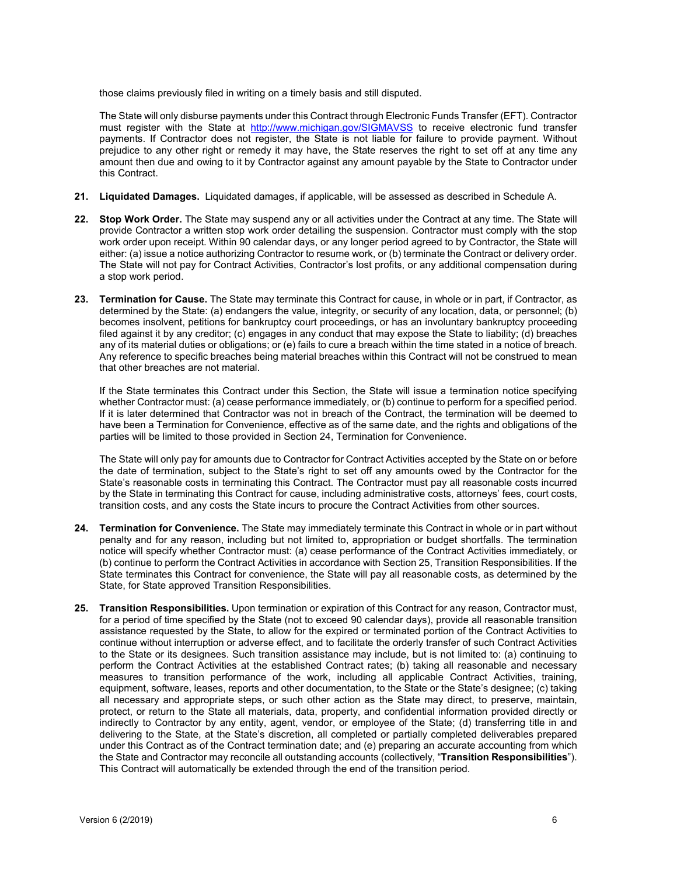those claims previously filed in writing on a timely basis and still disputed.

The State will only disburse payments under this Contract through Electronic Funds Transfer (EFT). Contractor must register with the State at<http://www.michigan.gov/SIGMAVSS> to receive electronic fund transfer payments. If Contractor does not register, the State is not liable for failure to provide payment. Without prejudice to any other right or remedy it may have, the State reserves the right to set off at any time any amount then due and owing to it by Contractor against any amount payable by the State to Contractor under this Contract.

- **21. Liquidated Damages.** Liquidated damages, if applicable, will be assessed as described in Schedule A.
- **22. Stop Work Order.** The State may suspend any or all activities under the Contract at any time. The State will provide Contractor a written stop work order detailing the suspension. Contractor must comply with the stop work order upon receipt. Within 90 calendar days, or any longer period agreed to by Contractor, the State will either: (a) issue a notice authorizing Contractor to resume work, or (b) terminate the Contract or delivery order. The State will not pay for Contract Activities, Contractor's lost profits, or any additional compensation during a stop work period.
- <span id="page-9-0"></span>**23. Termination for Cause.** The State may terminate this Contract for cause, in whole or in part, if Contractor, as determined by the State: (a) endangers the value, integrity, or security of any location, data, or personnel; (b) becomes insolvent, petitions for bankruptcy court proceedings, or has an involuntary bankruptcy proceeding filed against it by any creditor; (c) engages in any conduct that may expose the State to liability; (d) breaches any of its material duties or obligations; or (e) fails to cure a breach within the time stated in a notice of breach. Any reference to specific breaches being material breaches within this Contract will not be construed to mean that other breaches are not material.

If the State terminates this Contract under this Section, the State will issue a termination notice specifying whether Contractor must: (a) cease performance immediately, or (b) continue to perform for a specified period. If it is later determined that Contractor was not in breach of the Contract, the termination will be deemed to have been a Termination for Convenience, effective as of the same date, and the rights and obligations of the parties will be limited to those provided in Section 24, Termination for Convenience.

The State will only pay for amounts due to Contractor for Contract Activities accepted by the State on or before the date of termination, subject to the State's right to set off any amounts owed by the Contractor for the State's reasonable costs in terminating this Contract. The Contractor must pay all reasonable costs incurred by the State in terminating this Contract for cause, including administrative costs, attorneys' fees, court costs, transition costs, and any costs the State incurs to procure the Contract Activities from other sources.

- **24. Termination for Convenience.** The State may immediately terminate this Contract in whole or in part without penalty and for any reason, including but not limited to, appropriation or budget shortfalls. The termination notice will specify whether Contractor must: (a) cease performance of the Contract Activities immediately, or (b) continue to perform the Contract Activities in accordance with Section [25,](#page-9-1) Transition Responsibilities. If the State terminates this Contract for convenience, the State will pay all reasonable costs, as determined by the State, for State approved Transition Responsibilities.
- <span id="page-9-1"></span>**25. Transition Responsibilities.** Upon termination or expiration of this Contract for any reason, Contractor must, for a period of time specified by the State (not to exceed 90 calendar days), provide all reasonable transition assistance requested by the State, to allow for the expired or terminated portion of the Contract Activities to continue without interruption or adverse effect, and to facilitate the orderly transfer of such Contract Activities to the State or its designees. Such transition assistance may include, but is not limited to: (a) continuing to perform the Contract Activities at the established Contract rates; (b) taking all reasonable and necessary measures to transition performance of the work, including all applicable Contract Activities, training, equipment, software, leases, reports and other documentation, to the State or the State's designee; (c) taking all necessary and appropriate steps, or such other action as the State may direct, to preserve, maintain, protect, or return to the State all materials, data, property, and confidential information provided directly or indirectly to Contractor by any entity, agent, vendor, or employee of the State; (d) transferring title in and delivering to the State, at the State's discretion, all completed or partially completed deliverables prepared under this Contract as of the Contract termination date; and (e) preparing an accurate accounting from which the State and Contractor may reconcile all outstanding accounts (collectively, "**Transition Responsibilities**"). This Contract will automatically be extended through the end of the transition period.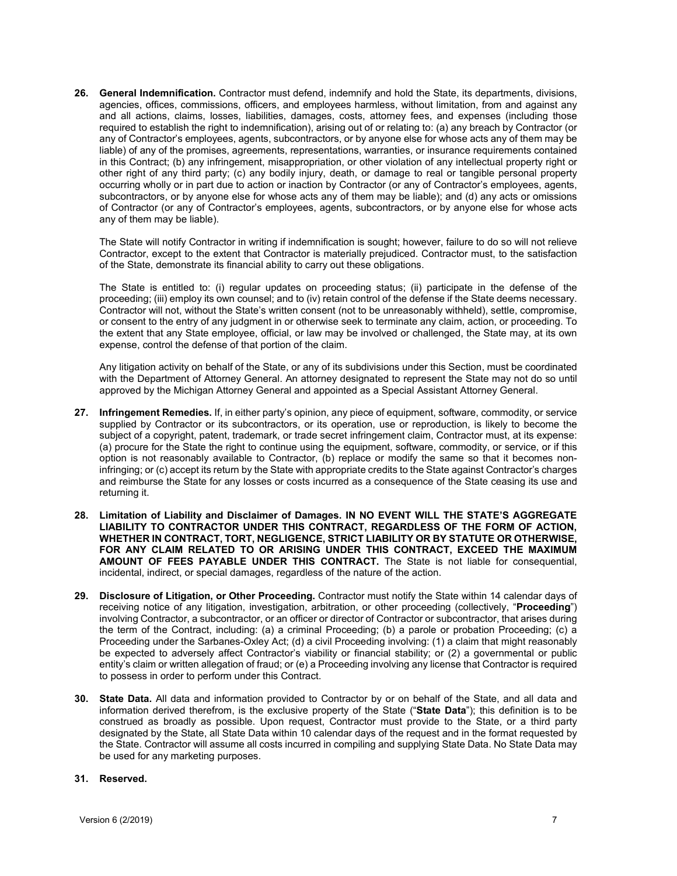**26. General Indemnification.** Contractor must defend, indemnify and hold the State, its departments, divisions, agencies, offices, commissions, officers, and employees harmless, without limitation, from and against any and all actions, claims, losses, liabilities, damages, costs, attorney fees, and expenses (including those required to establish the right to indemnification), arising out of or relating to: (a) any breach by Contractor (or any of Contractor's employees, agents, subcontractors, or by anyone else for whose acts any of them may be liable) of any of the promises, agreements, representations, warranties, or insurance requirements contained in this Contract; (b) any infringement, misappropriation, or other violation of any intellectual property right or other right of any third party; (c) any bodily injury, death, or damage to real or tangible personal property occurring wholly or in part due to action or inaction by Contractor (or any of Contractor's employees, agents, subcontractors, or by anyone else for whose acts any of them may be liable); and (d) any acts or omissions of Contractor (or any of Contractor's employees, agents, subcontractors, or by anyone else for whose acts any of them may be liable).

The State will notify Contractor in writing if indemnification is sought; however, failure to do so will not relieve Contractor, except to the extent that Contractor is materially prejudiced. Contractor must, to the satisfaction of the State, demonstrate its financial ability to carry out these obligations.

The State is entitled to: (i) regular updates on proceeding status; (ii) participate in the defense of the proceeding; (iii) employ its own counsel; and to (iv) retain control of the defense if the State deems necessary. Contractor will not, without the State's written consent (not to be unreasonably withheld), settle, compromise, or consent to the entry of any judgment in or otherwise seek to terminate any claim, action, or proceeding. To the extent that any State employee, official, or law may be involved or challenged, the State may, at its own expense, control the defense of that portion of the claim.

Any litigation activity on behalf of the State, or any of its subdivisions under this Section, must be coordinated with the Department of Attorney General. An attorney designated to represent the State may not do so until approved by the Michigan Attorney General and appointed as a Special Assistant Attorney General.

- **27. Infringement Remedies.** If, in either party's opinion, any piece of equipment, software, commodity, or service supplied by Contractor or its subcontractors, or its operation, use or reproduction, is likely to become the subject of a copyright, patent, trademark, or trade secret infringement claim, Contractor must, at its expense: (a) procure for the State the right to continue using the equipment, software, commodity, or service, or if this option is not reasonably available to Contractor, (b) replace or modify the same so that it becomes noninfringing; or (c) accept its return by the State with appropriate credits to the State against Contractor's charges and reimburse the State for any losses or costs incurred as a consequence of the State ceasing its use and returning it.
- **28. Limitation of Liability and Disclaimer of Damages. IN NO EVENT WILL THE STATE'S AGGREGATE LIABILITY TO CONTRACTOR UNDER THIS CONTRACT, REGARDLESS OF THE FORM OF ACTION, WHETHER IN CONTRACT, TORT, NEGLIGENCE, STRICT LIABILITY OR BY STATUTE OR OTHERWISE, FOR ANY CLAIM RELATED TO OR ARISING UNDER THIS CONTRACT, EXCEED THE MAXIMUM AMOUNT OF FEES PAYABLE UNDER THIS CONTRACT.** The State is not liable for consequential, incidental, indirect, or special damages, regardless of the nature of the action.
- **29. Disclosure of Litigation, or Other Proceeding.** Contractor must notify the State within 14 calendar days of receiving notice of any litigation, investigation, arbitration, or other proceeding (collectively, "**Proceeding**") involving Contractor, a subcontractor, or an officer or director of Contractor or subcontractor, that arises during the term of the Contract, including: (a) a criminal Proceeding; (b) a parole or probation Proceeding; (c) a Proceeding under the Sarbanes-Oxley Act; (d) a civil Proceeding involving: (1) a claim that might reasonably be expected to adversely affect Contractor's viability or financial stability; or (2) a governmental or public entity's claim or written allegation of fraud; or (e) a Proceeding involving any license that Contractor is required to possess in order to perform under this Contract.
- **30. State Data.** All data and information provided to Contractor by or on behalf of the State, and all data and information derived therefrom, is the exclusive property of the State ("**State Data**"); this definition is to be construed as broadly as possible. Upon request, Contractor must provide to the State, or a third party designated by the State, all State Data within 10 calendar days of the request and in the format requested by the State. Contractor will assume all costs incurred in compiling and supplying State Data. No State Data may be used for any marketing purposes.

## **31. Reserved.**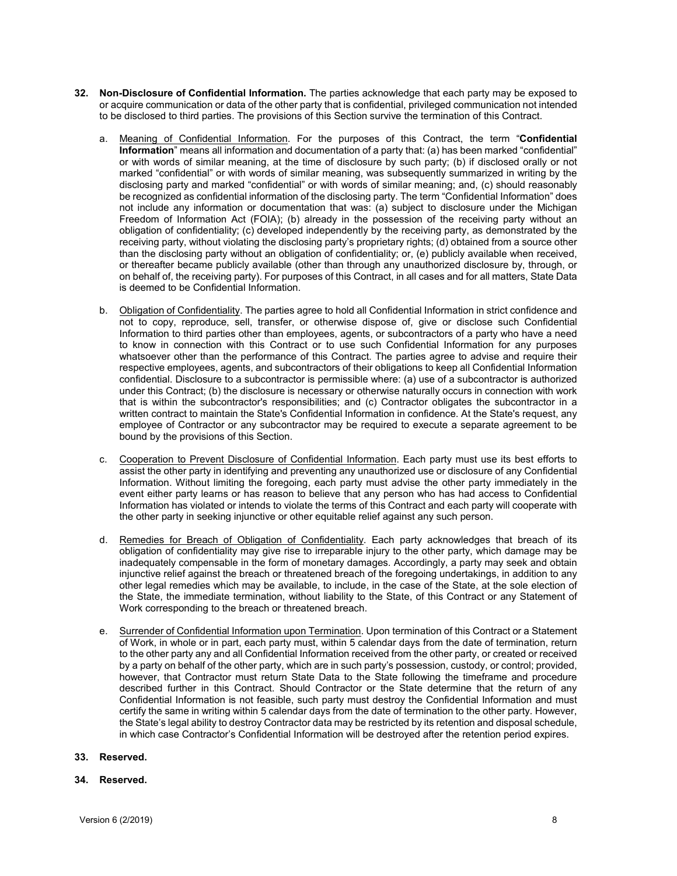- **32. Non-Disclosure of Confidential Information.** The parties acknowledge that each party may be exposed to or acquire communication or data of the other party that is confidential, privileged communication not intended to be disclosed to third parties. The provisions of this Section survive the termination of this Contract.
	- a. Meaning of Confidential Information. For the purposes of this Contract, the term "**Confidential Information**" means all information and documentation of a party that: (a) has been marked "confidential" or with words of similar meaning, at the time of disclosure by such party; (b) if disclosed orally or not marked "confidential" or with words of similar meaning, was subsequently summarized in writing by the disclosing party and marked "confidential" or with words of similar meaning; and, (c) should reasonably be recognized as confidential information of the disclosing party. The term "Confidential Information" does not include any information or documentation that was: (a) subject to disclosure under the Michigan Freedom of Information Act (FOIA); (b) already in the possession of the receiving party without an obligation of confidentiality; (c) developed independently by the receiving party, as demonstrated by the receiving party, without violating the disclosing party's proprietary rights; (d) obtained from a source other than the disclosing party without an obligation of confidentiality; or, (e) publicly available when received, or thereafter became publicly available (other than through any unauthorized disclosure by, through, or on behalf of, the receiving party). For purposes of this Contract, in all cases and for all matters, State Data is deemed to be Confidential Information.
	- b. **Obligation of Confidentiality**. The parties agree to hold all Confidential Information in strict confidence and not to copy, reproduce, sell, transfer, or otherwise dispose of, give or disclose such Confidential Information to third parties other than employees, agents, or subcontractors of a party who have a need to know in connection with this Contract or to use such Confidential Information for any purposes whatsoever other than the performance of this Contract. The parties agree to advise and require their respective employees, agents, and subcontractors of their obligations to keep all Confidential Information confidential. Disclosure to a subcontractor is permissible where: (a) use of a subcontractor is authorized under this Contract; (b) the disclosure is necessary or otherwise naturally occurs in connection with work that is within the subcontractor's responsibilities; and (c) Contractor obligates the subcontractor in a written contract to maintain the State's Confidential Information in confidence. At the State's request, any employee of Contractor or any subcontractor may be required to execute a separate agreement to be bound by the provisions of this Section.
	- c. Cooperation to Prevent Disclosure of Confidential Information. Each party must use its best efforts to assist the other party in identifying and preventing any unauthorized use or disclosure of any Confidential Information. Without limiting the foregoing, each party must advise the other party immediately in the event either party learns or has reason to believe that any person who has had access to Confidential Information has violated or intends to violate the terms of this Contract and each party will cooperate with the other party in seeking injunctive or other equitable relief against any such person.
	- d. Remedies for Breach of Obligation of Confidentiality. Each party acknowledges that breach of its obligation of confidentiality may give rise to irreparable injury to the other party, which damage may be inadequately compensable in the form of monetary damages. Accordingly, a party may seek and obtain injunctive relief against the breach or threatened breach of the foregoing undertakings, in addition to any other legal remedies which may be available, to include, in the case of the State, at the sole election of the State, the immediate termination, without liability to the State, of this Contract or any Statement of Work corresponding to the breach or threatened breach.
	- e. Surrender of Confidential Information upon Termination. Upon termination of this Contract or a Statement of Work, in whole or in part, each party must, within 5 calendar days from the date of termination, return to the other party any and all Confidential Information received from the other party, or created or received by a party on behalf of the other party, which are in such party's possession, custody, or control; provided, however, that Contractor must return State Data to the State following the timeframe and procedure described further in this Contract. Should Contractor or the State determine that the return of any Confidential Information is not feasible, such party must destroy the Confidential Information and must certify the same in writing within 5 calendar days from the date of termination to the other party. However, the State's legal ability to destroy Contractor data may be restricted by its retention and disposal schedule, in which case Contractor's Confidential Information will be destroyed after the retention period expires.

## **33. Reserved.**

## **34. Reserved.**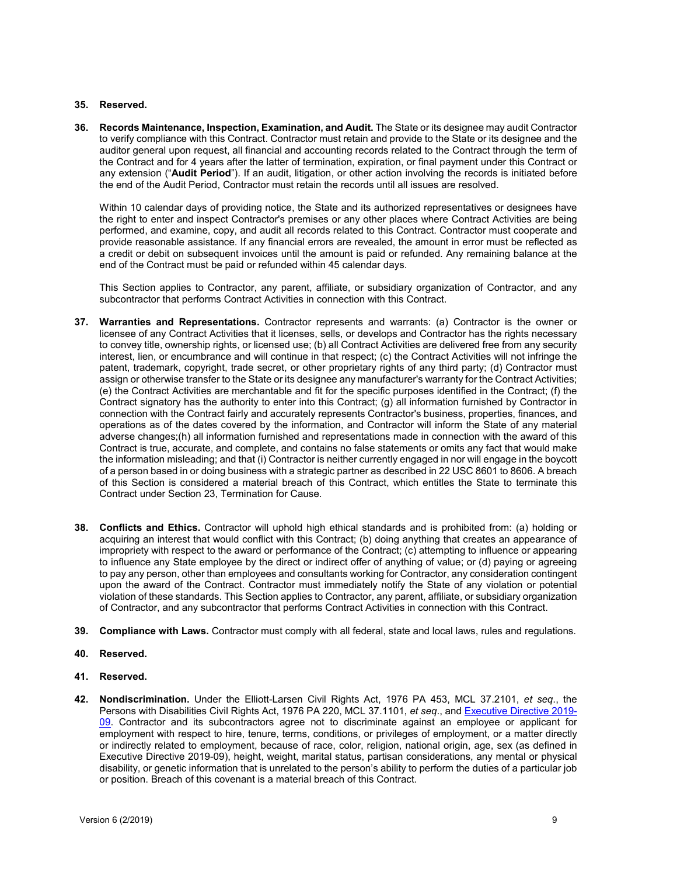## **35. Reserved.**

**36. Records Maintenance, Inspection, Examination, and Audit.** The State or its designee may audit Contractor to verify compliance with this Contract. Contractor must retain and provide to the State or its designee and the auditor general upon request, all financial and accounting records related to the Contract through the term of the Contract and for 4 years after the latter of termination, expiration, or final payment under this Contract or any extension ("**Audit Period**"). If an audit, litigation, or other action involving the records is initiated before the end of the Audit Period, Contractor must retain the records until all issues are resolved.

Within 10 calendar days of providing notice, the State and its authorized representatives or designees have the right to enter and inspect Contractor's premises or any other places where Contract Activities are being performed, and examine, copy, and audit all records related to this Contract. Contractor must cooperate and provide reasonable assistance. If any financial errors are revealed, the amount in error must be reflected as a credit or debit on subsequent invoices until the amount is paid or refunded. Any remaining balance at the end of the Contract must be paid or refunded within 45 calendar days.

This Section applies to Contractor, any parent, affiliate, or subsidiary organization of Contractor, and any subcontractor that performs Contract Activities in connection with this Contract.

- **37. Warranties and Representations.** Contractor represents and warrants: (a) Contractor is the owner or licensee of any Contract Activities that it licenses, sells, or develops and Contractor has the rights necessary to convey title, ownership rights, or licensed use; (b) all Contract Activities are delivered free from any security interest, lien, or encumbrance and will continue in that respect; (c) the Contract Activities will not infringe the patent, trademark, copyright, trade secret, or other proprietary rights of any third party; (d) Contractor must assign or otherwise transfer to the State or its designee any manufacturer's warranty for the Contract Activities; (e) the Contract Activities are merchantable and fit for the specific purposes identified in the Contract; (f) the Contract signatory has the authority to enter into this Contract; (g) all information furnished by Contractor in connection with the Contract fairly and accurately represents Contractor's business, properties, finances, and operations as of the dates covered by the information, and Contractor will inform the State of any material adverse changes;(h) all information furnished and representations made in connection with the award of this Contract is true, accurate, and complete, and contains no false statements or omits any fact that would make the information misleading; and that (i) Contractor is neither currently engaged in nor will engage in the boycott of a person based in or doing business with a strategic partner as described in 22 USC 8601 to 8606. A breach of this Section is considered a material breach of this Contract, which entitles the State to terminate this Contract under Sectio[n 23,](#page-9-0) Termination for Cause.
- **38. Conflicts and Ethics.** Contractor will uphold high ethical standards and is prohibited from: (a) holding or acquiring an interest that would conflict with this Contract; (b) doing anything that creates an appearance of impropriety with respect to the award or performance of the Contract; (c) attempting to influence or appearing to influence any State employee by the direct or indirect offer of anything of value; or (d) paying or agreeing to pay any person, other than employees and consultants working for Contractor, any consideration contingent upon the award of the Contract. Contractor must immediately notify the State of any violation or potential violation of these standards. This Section applies to Contractor, any parent, affiliate, or subsidiary organization of Contractor, and any subcontractor that performs Contract Activities in connection with this Contract.
- **39. Compliance with Laws.** Contractor must comply with all federal, state and local laws, rules and regulations.
- **40. Reserved.**
- **41. Reserved.**
- **42. Nondiscrimination.** Under the Elliott-Larsen Civil Rights Act, 1976 PA 453, MCL 37.2101, *et seq*., the Persons with Disabilities Civil Rights Act, 1976 PA 220, MCL 37.1101, *et seq*., and [Executive Directive 2019-](https://www.michigan.gov/whitmer/0,9309,7-387-90499_90704-486781--,00.html) [09.](https://www.michigan.gov/whitmer/0,9309,7-387-90499_90704-486781--,00.html) Contractor and its subcontractors agree not to discriminate against an employee or applicant for employment with respect to hire, tenure, terms, conditions, or privileges of employment, or a matter directly or indirectly related to employment, because of race, color, religion, national origin, age, sex (as defined in Executive Directive 2019-09), height, weight, marital status, partisan considerations, any mental or physical disability, or genetic information that is unrelated to the person's ability to perform the duties of a particular job or position. Breach of this covenant is a material breach of this Contract.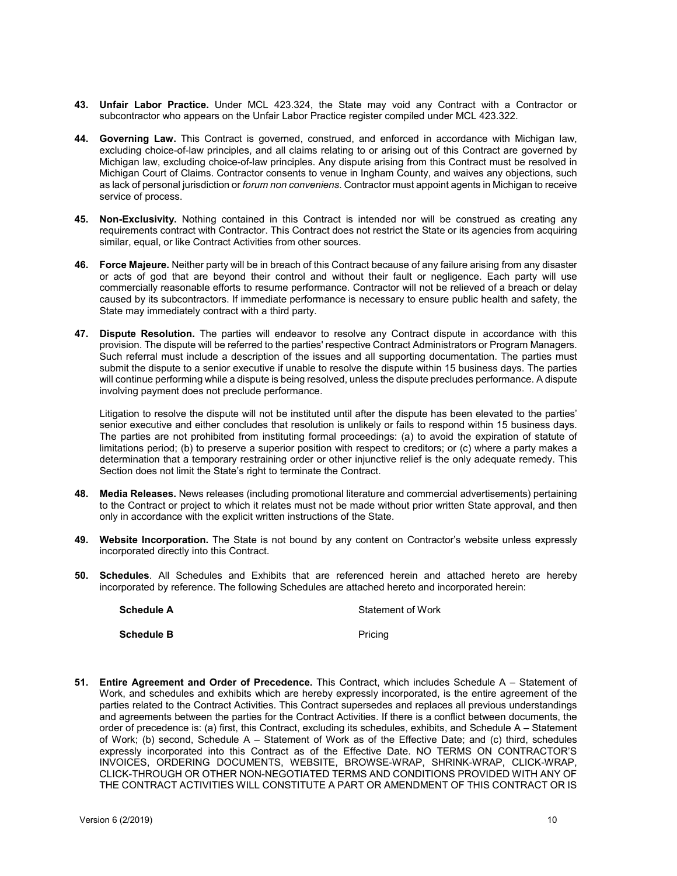- **43. Unfair Labor Practice.** Under MCL 423.324, the State may void any Contract with a Contractor or subcontractor who appears on the Unfair Labor Practice register compiled under MCL 423.322.
- **44. Governing Law.** This Contract is governed, construed, and enforced in accordance with Michigan law, excluding choice-of-law principles, and all claims relating to or arising out of this Contract are governed by Michigan law, excluding choice-of-law principles. Any dispute arising from this Contract must be resolved in Michigan Court of Claims. Contractor consents to venue in Ingham County, and waives any objections, such as lack of personal jurisdiction or *forum non conveniens*. Contractor must appoint agents in Michigan to receive service of process.
- **45. Non-Exclusivity.** Nothing contained in this Contract is intended nor will be construed as creating any requirements contract with Contractor. This Contract does not restrict the State or its agencies from acquiring similar, equal, or like Contract Activities from other sources.
- **46. Force Majeure.** Neither party will be in breach of this Contract because of any failure arising from any disaster or acts of god that are beyond their control and without their fault or negligence. Each party will use commercially reasonable efforts to resume performance. Contractor will not be relieved of a breach or delay caused by its subcontractors. If immediate performance is necessary to ensure public health and safety, the State may immediately contract with a third party.
- **47. Dispute Resolution.** The parties will endeavor to resolve any Contract dispute in accordance with this provision. The dispute will be referred to the parties' respective Contract Administrators or Program Managers. Such referral must include a description of the issues and all supporting documentation. The parties must submit the dispute to a senior executive if unable to resolve the dispute within 15 business days. The parties will continue performing while a dispute is being resolved, unless the dispute precludes performance. A dispute involving payment does not preclude performance.

Litigation to resolve the dispute will not be instituted until after the dispute has been elevated to the parties' senior executive and either concludes that resolution is unlikely or fails to respond within 15 business days. The parties are not prohibited from instituting formal proceedings: (a) to avoid the expiration of statute of limitations period; (b) to preserve a superior position with respect to creditors; or (c) where a party makes a determination that a temporary restraining order or other injunctive relief is the only adequate remedy. This Section does not limit the State's right to terminate the Contract.

- **48. Media Releases.** News releases (including promotional literature and commercial advertisements) pertaining to the Contract or project to which it relates must not be made without prior written State approval, and then only in accordance with the explicit written instructions of the State.
- **49. Website Incorporation.** The State is not bound by any content on Contractor's website unless expressly incorporated directly into this Contract.
- **50. Schedules**. All Schedules and Exhibits that are referenced herein and attached hereto are hereby incorporated by reference. The following Schedules are attached hereto and incorporated herein:

| <b>Schedule A</b> | Statement of Work |
|-------------------|-------------------|
| <b>Schedule B</b> | Pricing           |

**51. Entire Agreement and Order of Precedence.** This Contract, which includes Schedule A – Statement of Work, and schedules and exhibits which are hereby expressly incorporated, is the entire agreement of the parties related to the Contract Activities. This Contract supersedes and replaces all previous understandings and agreements between the parties for the Contract Activities. If there is a conflict between documents, the order of precedence is: (a) first, this Contract, excluding its schedules, exhibits, and Schedule A – Statement of Work; (b) second, Schedule A – Statement of Work as of the Effective Date; and (c) third, schedules expressly incorporated into this Contract as of the Effective Date. NO TERMS ON CONTRACTOR'S INVOICES, ORDERING DOCUMENTS, WEBSITE, BROWSE-WRAP, SHRINK-WRAP, CLICK-WRAP, CLICK-THROUGH OR OTHER NON-NEGOTIATED TERMS AND CONDITIONS PROVIDED WITH ANY OF THE CONTRACT ACTIVITIES WILL CONSTITUTE A PART OR AMENDMENT OF THIS CONTRACT OR IS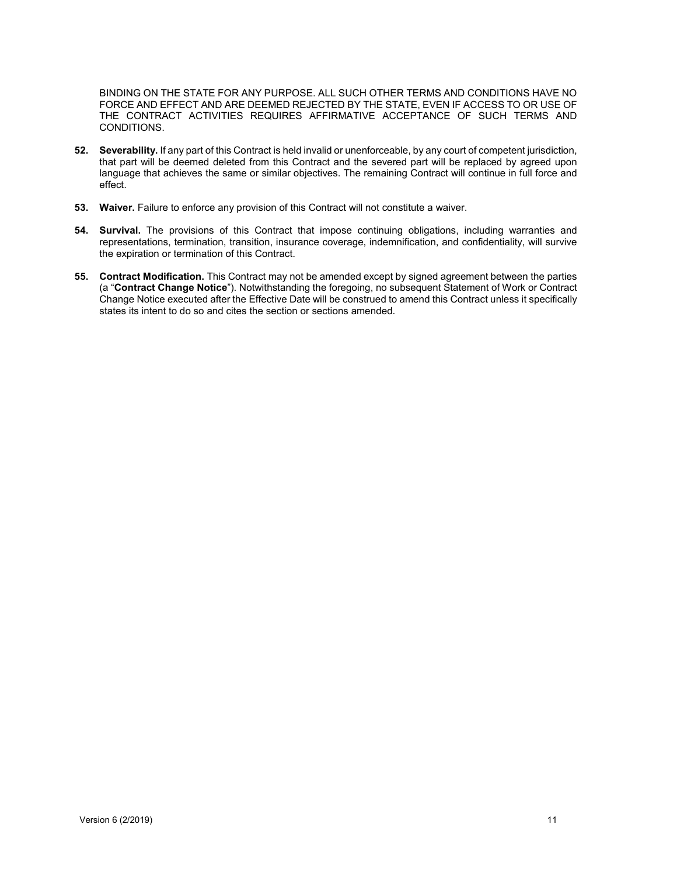BINDING ON THE STATE FOR ANY PURPOSE. ALL SUCH OTHER TERMS AND CONDITIONS HAVE NO FORCE AND EFFECT AND ARE DEEMED REJECTED BY THE STATE, EVEN IF ACCESS TO OR USE OF THE CONTRACT ACTIVITIES REQUIRES AFFIRMATIVE ACCEPTANCE OF SUCH TERMS AND CONDITIONS.

- **52. Severability.** If any part of this Contract is held invalid or unenforceable, by any court of competent jurisdiction, that part will be deemed deleted from this Contract and the severed part will be replaced by agreed upon language that achieves the same or similar objectives. The remaining Contract will continue in full force and effect.
- **53. Waiver.** Failure to enforce any provision of this Contract will not constitute a waiver.
- **54. Survival.** The provisions of this Contract that impose continuing obligations, including warranties and representations, termination, transition, insurance coverage, indemnification, and confidentiality, will survive the expiration or termination of this Contract.
- **55. Contract Modification.** This Contract may not be amended except by signed agreement between the parties (a "**Contract Change Notice**"). Notwithstanding the foregoing, no subsequent Statement of Work or Contract Change Notice executed after the Effective Date will be construed to amend this Contract unless it specifically states its intent to do so and cites the section or sections amended.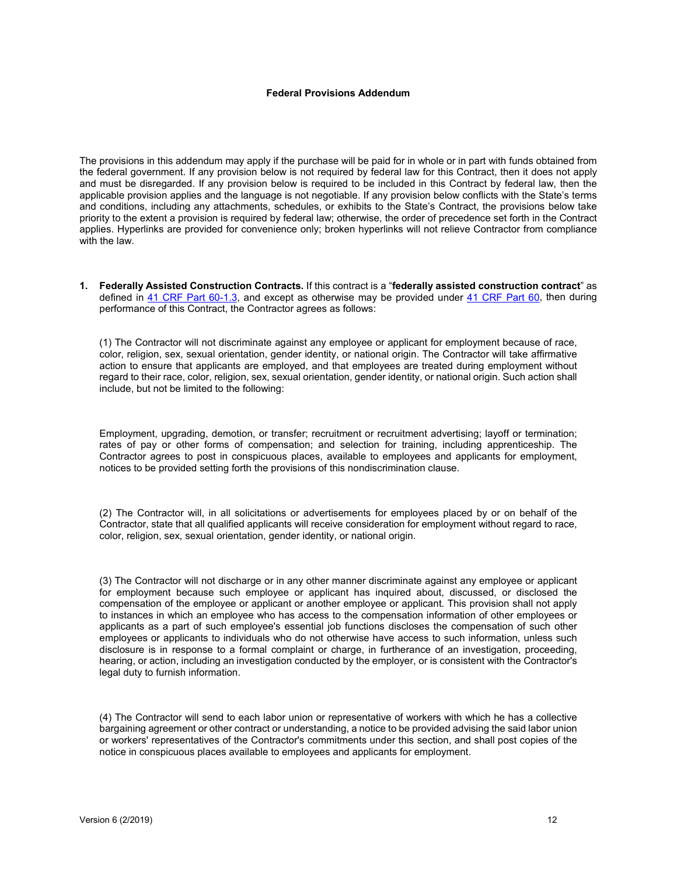#### **Federal Provisions Addendum**

The provisions in this addendum may apply if the purchase will be paid for in whole or in part with funds obtained from the federal government. If any provision below is not required by federal law for this Contract, then it does not apply and must be disregarded. If any provision below is required to be included in this Contract by federal law, then the applicable provision applies and the language is not negotiable. If any provision below conflicts with the State's terms and conditions, including any attachments, schedules, or exhibits to the State's Contract, the provisions below take priority to the extent a provision is required by federal law; otherwise, the order of precedence set forth in the Contract applies. Hyperlinks are provided for convenience only; broken hyperlinks will not relieve Contractor from compliance with the law.

**1. Federally Assisted Construction Contracts.** If this contract is a "**federally assisted construction contract**" as defined in [41 CRF Part 60-1.3,](https://www.law.cornell.edu/cfr/text/41/60-1.3) and except as otherwise may be provided under [41 CRF Part 60,](https://www.law.cornell.edu/cfr/text/41/part-60) then during performance of this Contract, the Contractor agrees as follows:

(1) The Contractor will not discriminate against any employee or applicant for employment because of race, color, religion, sex, sexual orientation, gender identity, or national origin. The Contractor will take affirmative action to ensure that applicants are employed, and that employees are treated during employment without regard to their race, color, religion, sex, sexual orientation, gender identity, or national origin. Such action shall include, but not be limited to the following:

Employment, upgrading, demotion, or transfer; recruitment or recruitment advertising; layoff or termination; rates of pay or other forms of compensation; and selection for training, including apprenticeship. The Contractor agrees to post in conspicuous places, available to employees and applicants for employment, notices to be provided setting forth the provisions of this nondiscrimination clause.

(2) The Contractor will, in all solicitations or advertisements for employees placed by or on behalf of the Contractor, state that all qualified applicants will receive consideration for employment without regard to race, color, religion, sex, sexual orientation, gender identity, or national origin.

(3) The Contractor will not discharge or in any other manner discriminate against any employee or applicant for employment because such employee or applicant has inquired about, discussed, or disclosed the compensation of the employee or applicant or another employee or applicant. This provision shall not apply to instances in which an employee who has access to the compensation information of other employees or applicants as a part of such employee's essential job functions discloses the compensation of such other employees or applicants to individuals who do not otherwise have access to such information, unless such disclosure is in response to a formal complaint or charge, in furtherance of an investigation, proceeding, hearing, or action, including an investigation conducted by the employer, or is consistent with the Contractor's legal duty to furnish information.

(4) The Contractor will send to each labor union or representative of workers with which he has a collective bargaining agreement or other contract or understanding, a notice to be provided advising the said labor union or workers' representatives of the Contractor's commitments under this section, and shall post copies of the notice in conspicuous places available to employees and applicants for employment.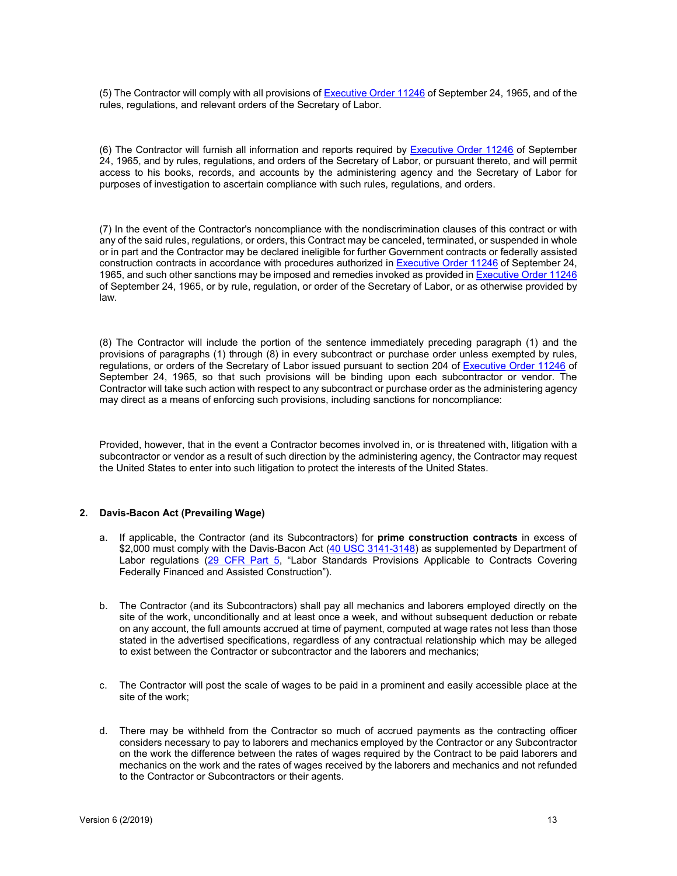(5) The Contractor will comply with all provisions of [Executive Order 11246](https://www.dol.gov/ofccp/regs/statutes/eo11246.htm) of September 24, 1965, and of the rules, regulations, and relevant orders of the Secretary of Labor.

(6) The Contractor will furnish all information and reports required by [Executive Order 11246](https://www.dol.gov/ofccp/regs/statutes/eo11246.htm) of September 24, 1965, and by rules, regulations, and orders of the Secretary of Labor, or pursuant thereto, and will permit access to his books, records, and accounts by the administering agency and the Secretary of Labor for purposes of investigation to ascertain compliance with such rules, regulations, and orders.

(7) In the event of the Contractor's noncompliance with the nondiscrimination clauses of this contract or with any of the said rules, regulations, or orders, this Contract may be canceled, terminated, or suspended in whole or in part and the Contractor may be declared ineligible for further Government contracts or federally assisted construction contracts in accordance with procedures authorized i[n Executive Order 11246](https://www.dol.gov/ofccp/regs/statutes/eo11246.htm) of September 24, 1965, and such other sanctions may be imposed and remedies invoked as provided i[n Executive Order 11246](https://www.dol.gov/ofccp/regs/statutes/eo11246.htm) of September 24, 1965, or by rule, regulation, or order of the Secretary of Labor, or as otherwise provided by law.

(8) The Contractor will include the portion of the sentence immediately preceding paragraph (1) and the provisions of paragraphs (1) through (8) in every subcontract or purchase order unless exempted by rules, regulations, or orders of the Secretary of Labor issued pursuant to section 204 of [Executive Order 11246](https://www.dol.gov/ofccp/regs/statutes/eo11246.htm) of September 24, 1965, so that such provisions will be binding upon each subcontractor or vendor. The Contractor will take such action with respect to any subcontract or purchase order as the administering agency may direct as a means of enforcing such provisions, including sanctions for noncompliance:

Provided, however, that in the event a Contractor becomes involved in, or is threatened with, litigation with a subcontractor or vendor as a result of such direction by the administering agency, the Contractor may request the United States to enter into such litigation to protect the interests of the United States.

#### **2. Davis-Bacon Act (Prevailing Wage)**

- a. If applicable, the Contractor (and its Subcontractors) for **prime construction contracts** in excess of \$2,000 must comply with the Davis-Bacon Act [\(40 USC 3141-3148\)](https://www.law.cornell.edu/uscode/text/40/subtitle-II/part-A/chapter-31/subchapter-IV) as supplemented by Department of Labor regulations [\(29 CFR Part 5,](https://www.law.cornell.edu/cfr/text/29/part-5) "Labor Standards Provisions Applicable to Contracts Covering Federally Financed and Assisted Construction").
- b. The Contractor (and its Subcontractors) shall pay all mechanics and laborers employed directly on the site of the work, unconditionally and at least once a week, and without subsequent deduction or rebate on any account, the full amounts accrued at time of payment, computed at wage rates not less than those stated in the advertised specifications, regardless of any contractual relationship which may be alleged to exist between the Contractor or subcontractor and the laborers and mechanics;
- c. The Contractor will post the scale of wages to be paid in a prominent and easily accessible place at the site of the work;
- d. There may be withheld from the Contractor so much of accrued payments as the contracting officer considers necessary to pay to laborers and mechanics employed by the Contractor or any Subcontractor on the work the difference between the rates of wages required by the Contract to be paid laborers and mechanics on the work and the rates of wages received by the laborers and mechanics and not refunded to the Contractor or Subcontractors or their agents.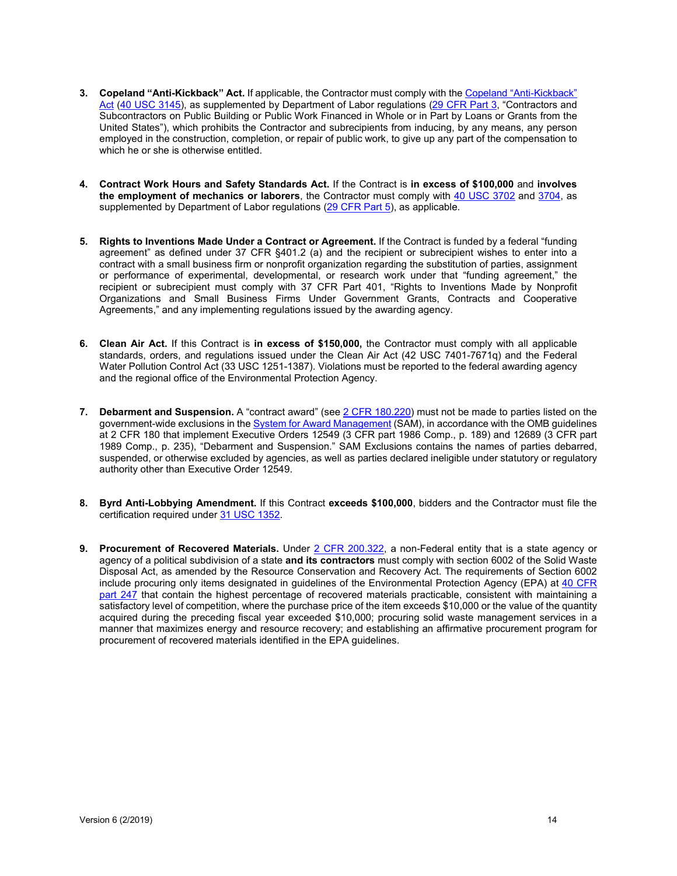- **3. Copeland "Anti-Kickback" Act.** If applicable, the Contractor must comply with th[e Copeland "Anti-Kickback"](https://www.dol.gov/whd/regs/statutes/copeland.htm)  [Act](https://www.dol.gov/whd/regs/statutes/copeland.htm) [\(40 USC 3145\)](https://www.law.cornell.edu/uscode/text/40/3145), as supplemented by Department of Labor regulations [\(29 CFR Part 3,](https://www.law.cornell.edu/cfr/text/29/part-3) "Contractors and Subcontractors on Public Building or Public Work Financed in Whole or in Part by Loans or Grants from the United States"), which prohibits the Contractor and subrecipients from inducing, by any means, any person employed in the construction, completion, or repair of public work, to give up any part of the compensation to which he or she is otherwise entitled.
- **4. Contract Work Hours and Safety Standards Act.** If the Contract is **in excess of \$100,000** and **involves the employment of mechanics or laborers**, the Contractor must comply with [40 USC 3702](https://www.law.cornell.edu/uscode/text/40/3702) and [3704,](https://www.law.cornell.edu/uscode/text/40/3704) as supplemented by Department of Labor regulations [\(29 CFR Part 5\)](https://www.law.cornell.edu/cfr/text/29/part-5), as applicable.
- **5. Rights to Inventions Made Under a Contract or Agreement.** If the Contract is funded by a federal "funding agreement" as defined under 37 CFR §401.2 (a) and the recipient or subrecipient wishes to enter into a contract with a small business firm or nonprofit organization regarding the substitution of parties, assignment or performance of experimental, developmental, or research work under that "funding agreement," the recipient or subrecipient must comply with 37 CFR Part 401, "Rights to Inventions Made by Nonprofit Organizations and Small Business Firms Under Government Grants, Contracts and Cooperative Agreements," and any implementing regulations issued by the awarding agency.
- **6. Clean Air Act.** If this Contract is **in excess of \$150,000,** the Contractor must comply with all applicable standards, orders, and regulations issued under the Clean Air Act (42 USC 7401-7671q) and the Federal Water Pollution Control Act (33 USC 1251-1387). Violations must be reported to the federal awarding agency and the regional office of the Environmental Protection Agency.
- **7. Debarment and Suspension.** A "contract award" (see [2 CFR 180.220\)](https://www.law.cornell.edu/cfr/text/2/180.220) must not be made to parties listed on the government-wide exclusions in the [System for Award Management](https://www.sam.gov/portal/SAM/?portal:componentId=78d3f342-d23f-424a-a04a-d978528069c2&interactionstate=JBPNS_rO0ABXc0ABBfanNmQnJpZGdlVmlld0lkAAAAAQATL2pzZi9uYXZpZ2F0aW9uLmpzcAAHX19FT0ZfXw**&portal:type=action) (SAM), in accordance with the OMB guidelines at 2 CFR 180 that implement Executive Orders 12549 (3 CFR part 1986 Comp., p. 189) and 12689 (3 CFR part 1989 Comp., p. 235), "Debarment and Suspension." SAM Exclusions contains the names of parties debarred, suspended, or otherwise excluded by agencies, as well as parties declared ineligible under statutory or regulatory authority other than Executive Order 12549.
- **8. Byrd Anti-Lobbying Amendment.** If this Contract **exceeds \$100,000**, bidders and the Contractor must file the certification required under [31 USC 1352.](https://www.law.cornell.edu/uscode/text/31/1352)
- **9. Procurement of Recovered Materials.** Under [2 CFR 200.322,](https://www.law.cornell.edu/cfr/text/2/200.322) a non-Federal entity that is a state agency or agency of a political subdivision of a state **and its contractors** must comply with section 6002 of the Solid Waste Disposal Act, as amended by the Resource Conservation and Recovery Act. The requirements of Section 6002 include procuring only items designated in guidelines of the Environmental Protection Agency (EPA) at 40 CFR [part 247](https://www.gpo.gov/fdsys/granule/CFR-2002-title40-vol21/CFR-2002-title40-vol21-part247) that contain the highest percentage of recovered materials practicable, consistent with maintaining a satisfactory level of competition, where the purchase price of the item exceeds \$10,000 or the value of the quantity acquired during the preceding fiscal year exceeded \$10,000; procuring solid waste management services in a manner that maximizes energy and resource recovery; and establishing an affirmative procurement program for procurement of recovered materials identified in the EPA guidelines.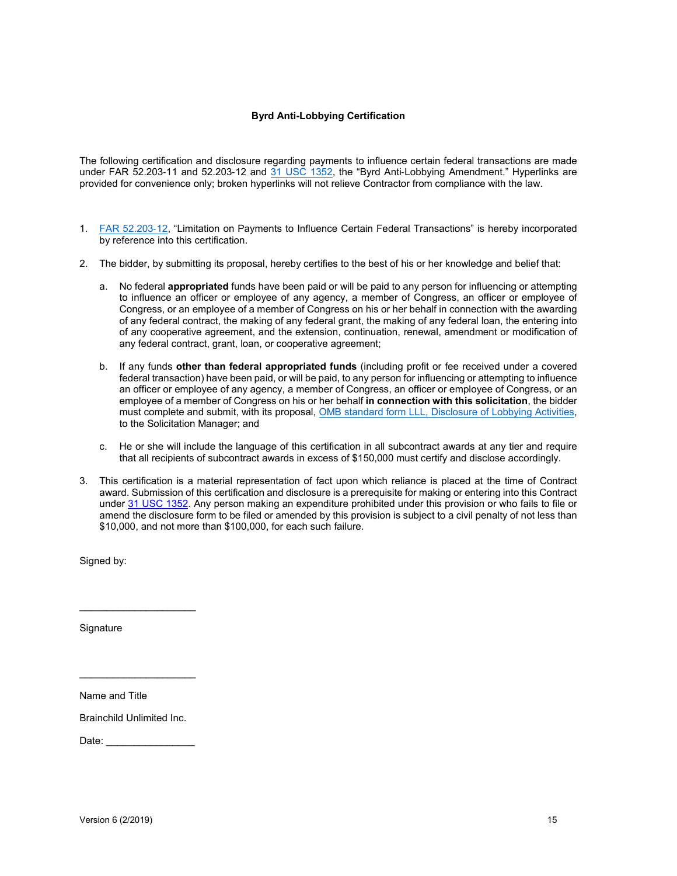## **Byrd Anti-Lobbying Certification**

The following certification and disclosure regarding payments to influence certain federal transactions are made under FAR 52.203-11 and 52.203-12 and [31 USC 1352,](https://www.law.cornell.edu/uscode/text/31/1352) the "Byrd Anti-Lobbying Amendment." Hyperlinks are provided for convenience only; broken hyperlinks will not relieve Contractor from compliance with the law.

- 1. [FAR 52.203](https://www.law.cornell.edu/cfr/text/48/52.203-12)‐12, "Limitation on Payments to Influence Certain Federal Transactions" is hereby incorporated by reference into this certification.
- 2. The bidder, by submitting its proposal, hereby certifies to the best of his or her knowledge and belief that:
	- a. No federal **appropriated** funds have been paid or will be paid to any person for influencing or attempting to influence an officer or employee of any agency, a member of Congress, an officer or employee of Congress, or an employee of a member of Congress on his or her behalf in connection with the awarding of any federal contract, the making of any federal grant, the making of any federal loan, the entering into of any cooperative agreement, and the extension, continuation, renewal, amendment or modification of any federal contract, grant, loan, or cooperative agreement;
	- b. If any funds **other than federal appropriated funds** (including profit or fee received under a covered federal transaction) have been paid, or will be paid, to any person for influencing or attempting to influence an officer or employee of any agency, a member of Congress, an officer or employee of Congress, or an employee of a member of Congress on his or her behalf **in connection with this solicitation**, the bidder must complete and submit, with its proposal, [OMB standard form LLL, Disclosure of Lobbying Activities,](https://www.gsa.gov/portal/forms/download/116430) to the Solicitation Manager; and
	- c. He or she will include the language of this certification in all subcontract awards at any tier and require that all recipients of subcontract awards in excess of \$150,000 must certify and disclose accordingly.
- 3. This certification is a material representation of fact upon which reliance is placed at the time of Contract award. Submission of this certification and disclosure is a prerequisite for making or entering into this Contract unde[r 31 USC 1352.](https://www.law.cornell.edu/uscode/text/31/1352) Any person making an expenditure prohibited under this provision or who fails to file or amend the disclosure form to be filed or amended by this provision is subject to a civil penalty of not less than \$10,000, and not more than \$100,000, for each such failure.

Signed by:

**Signature** 

Name and Title

Brainchild Unlimited Inc.

\_\_\_\_\_\_\_\_\_\_\_\_\_\_\_\_\_\_\_\_\_

\_\_\_\_\_\_\_\_\_\_\_\_\_\_\_\_\_\_\_\_\_

Date: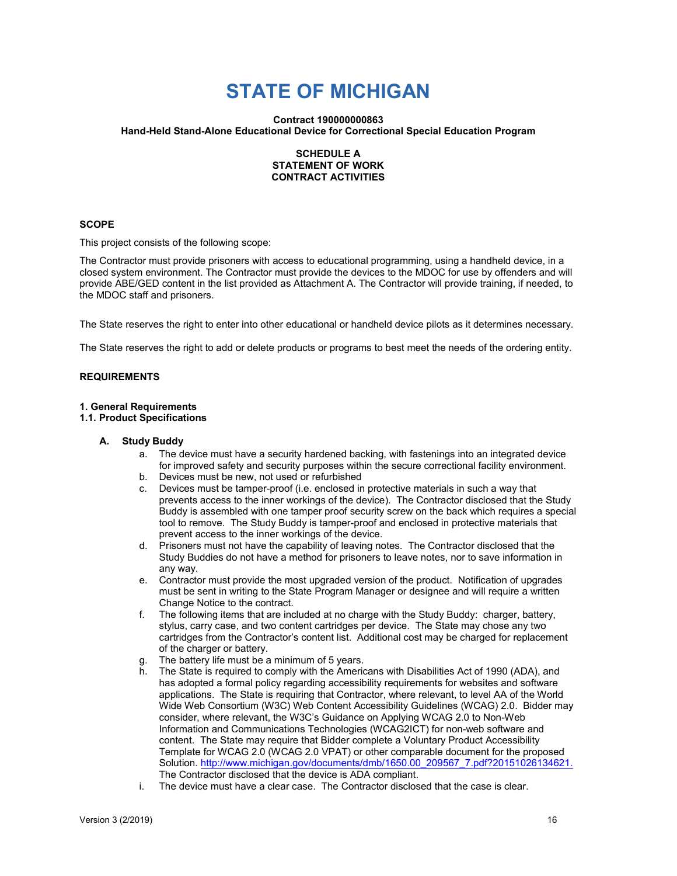# **STATE OF MICHIGAN**

## **Contract 190000000863 Hand-Held Stand-Alone Educational Device for Correctional Special Education Program**

## **SCHEDULE A STATEMENT OF WORK CONTRACT ACTIVITIES**

## **SCOPE**

This project consists of the following scope:

The Contractor must provide prisoners with access to educational programming, using a handheld device, in a closed system environment. The Contractor must provide the devices to the MDOC for use by offenders and will provide ABE/GED content in the list provided as Attachment A. The Contractor will provide training, if needed, to the MDOC staff and prisoners.

The State reserves the right to enter into other educational or handheld device pilots as it determines necessary.

The State reserves the right to add or delete products or programs to best meet the needs of the ordering entity.

## **REQUIREMENTS**

### **1. General Requirements**

#### **1.1. Product Specifications**

#### **A. Study Buddy**

- a. The device must have a security hardened backing, with fastenings into an integrated device for improved safety and security purposes within the secure correctional facility environment.
- b. Devices must be new, not used or refurbished<br>c. Devices must be tamper-proof (i.e. enclosed in
- Devices must be tamper-proof (i.e. enclosed in protective materials in such a way that prevents access to the inner workings of the device). The Contractor disclosed that the Study Buddy is assembled with one tamper proof security screw on the back which requires a special tool to remove. The Study Buddy is tamper-proof and enclosed in protective materials that prevent access to the inner workings of the device.
- d. Prisoners must not have the capability of leaving notes. The Contractor disclosed that the Study Buddies do not have a method for prisoners to leave notes, nor to save information in any way.
- e. Contractor must provide the most upgraded version of the product. Notification of upgrades must be sent in writing to the State Program Manager or designee and will require a written Change Notice to the contract.
- f. The following items that are included at no charge with the Study Buddy: charger, battery, stylus, carry case, and two content cartridges per device. The State may chose any two cartridges from the Contractor's content list. Additional cost may be charged for replacement of the charger or battery.
- g. The battery life must be a minimum of 5 years.
- h. The State is required to comply with the Americans with Disabilities Act of 1990 (ADA), and has adopted a formal policy regarding accessibility requirements for websites and software applications. The State is requiring that Contractor, where relevant, to level AA of the World Wide Web Consortium (W3C) Web Content Accessibility Guidelines (WCAG) 2.0. Bidder may consider, where relevant, the W3C's Guidance on Applying WCAG 2.0 to Non-Web Information and Communications Technologies (WCAG2ICT) for non-web software and content. The State may require that Bidder complete a Voluntary Product Accessibility Template for WCAG 2.0 (WCAG 2.0 VPAT) or other comparable document for the proposed Solution[. http://www.michigan.gov/documents/dmb/1650.00\\_209567\\_7.pdf?20151026134621.](http://www.michigan.gov/documents/dmb/1650.00_209567_7.pdf?20151026134621) The Contractor disclosed that the device is ADA compliant.
- i. The device must have a clear case. The Contractor disclosed that the case is clear.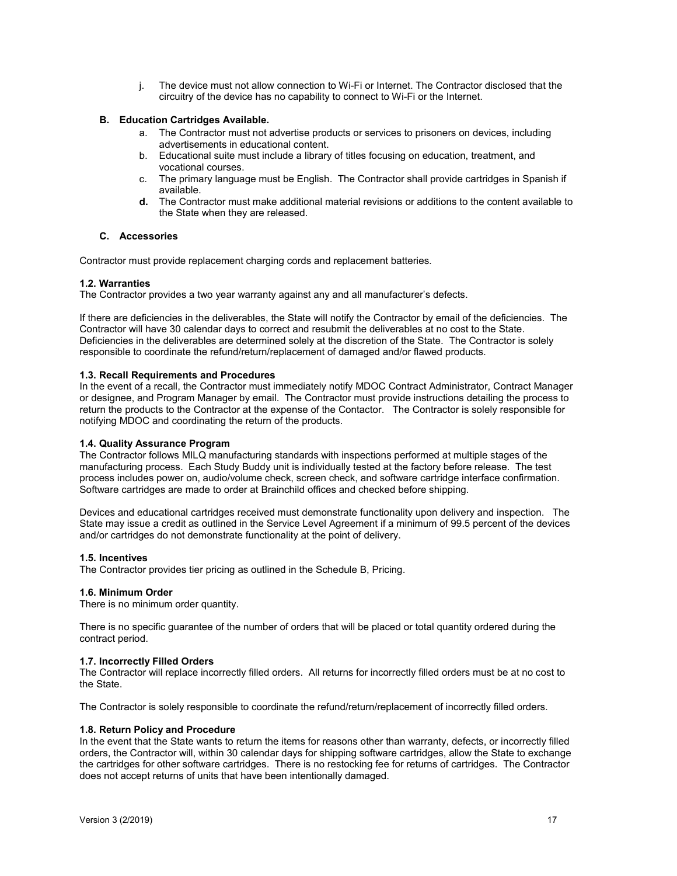j. The device must not allow connection to Wi-Fi or Internet. The Contractor disclosed that the circuitry of the device has no capability to connect to Wi-Fi or the Internet.

## **B. Education Cartridges Available.**

- a. The Contractor must not advertise products or services to prisoners on devices, including advertisements in educational content.
- b. Educational suite must include a library of titles focusing on education, treatment, and vocational courses.
- c. The primary language must be English. The Contractor shall provide cartridges in Spanish if available.
- **d.** The Contractor must make additional material revisions or additions to the content available to the State when they are released.

## **C. Accessories**

Contractor must provide replacement charging cords and replacement batteries.

## **1.2. Warranties**

The Contractor provides a two year warranty against any and all manufacturer's defects.

If there are deficiencies in the deliverables, the State will notify the Contractor by email of the deficiencies. The Contractor will have 30 calendar days to correct and resubmit the deliverables at no cost to the State. Deficiencies in the deliverables are determined solely at the discretion of the State. The Contractor is solely responsible to coordinate the refund/return/replacement of damaged and/or flawed products.

## **1.3. Recall Requirements and Procedures**

In the event of a recall, the Contractor must immediately notify MDOC Contract Administrator, Contract Manager or designee, and Program Manager by email. The Contractor must provide instructions detailing the process to return the products to the Contractor at the expense of the Contactor. The Contractor is solely responsible for notifying MDOC and coordinating the return of the products.

## **1.4. Quality Assurance Program**

The Contractor follows MILQ manufacturing standards with inspections performed at multiple stages of the manufacturing process. Each Study Buddy unit is individually tested at the factory before release. The test process includes power on, audio/volume check, screen check, and software cartridge interface confirmation. Software cartridges are made to order at Brainchild offices and checked before shipping.

Devices and educational cartridges received must demonstrate functionality upon delivery and inspection. The State may issue a credit as outlined in the Service Level Agreement if a minimum of 99.5 percent of the devices and/or cartridges do not demonstrate functionality at the point of delivery.

## **1.5. Incentives**

The Contractor provides tier pricing as outlined in the Schedule B, Pricing.

## **1.6. Minimum Order**

There is no minimum order quantity.

There is no specific guarantee of the number of orders that will be placed or total quantity ordered during the contract period.

#### **1.7. Incorrectly Filled Orders**

The Contractor will replace incorrectly filled orders. All returns for incorrectly filled orders must be at no cost to the State.

The Contractor is solely responsible to coordinate the refund/return/replacement of incorrectly filled orders.

#### **1.8. Return Policy and Procedure**

In the event that the State wants to return the items for reasons other than warranty, defects, or incorrectly filled orders, the Contractor will, within 30 calendar days for shipping software cartridges, allow the State to exchange the cartridges for other software cartridges. There is no restocking fee for returns of cartridges. The Contractor does not accept returns of units that have been intentionally damaged.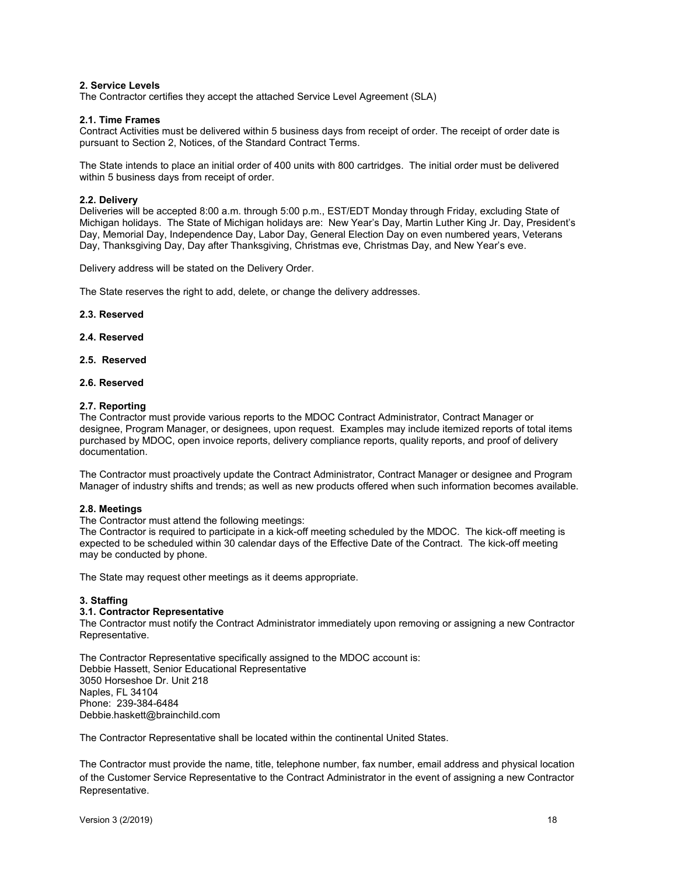## **2. Service Levels**

The Contractor certifies they accept the attached Service Level Agreement (SLA)

#### **2.1. Time Frames**

Contract Activities must be delivered within 5 business days from receipt of order. The receipt of order date is pursuant to Section 2, Notices, of the Standard Contract Terms.

The State intends to place an initial order of 400 units with 800 cartridges. The initial order must be delivered within 5 business days from receipt of order.

## **2.2. Delivery**

Deliveries will be accepted 8:00 a.m. through 5:00 p.m., EST/EDT Monday through Friday, excluding State of Michigan holidays. The State of Michigan holidays are: New Year's Day, Martin Luther King Jr. Day, President's Day, Memorial Day, Independence Day, Labor Day, General Election Day on even numbered years, Veterans Day, Thanksgiving Day, Day after Thanksgiving, Christmas eve, Christmas Day, and New Year's eve.

Delivery address will be stated on the Delivery Order.

The State reserves the right to add, delete, or change the delivery addresses.

#### **2.3. Reserved**

**2.4. Reserved**

## **2.5. Reserved**

## **2.6. Reserved**

#### **2.7. Reporting**

The Contractor must provide various reports to the MDOC Contract Administrator, Contract Manager or designee, Program Manager, or designees, upon request. Examples may include itemized reports of total items purchased by MDOC, open invoice reports, delivery compliance reports, quality reports, and proof of delivery documentation.

The Contractor must proactively update the Contract Administrator, Contract Manager or designee and Program Manager of industry shifts and trends; as well as new products offered when such information becomes available.

### **2.8. Meetings**

The Contractor must attend the following meetings:

The Contractor is required to participate in a kick-off meeting scheduled by the MDOC. The kick-off meeting is expected to be scheduled within 30 calendar days of the Effective Date of the Contract. The kick-off meeting may be conducted by phone.

The State may request other meetings as it deems appropriate.

#### **3. Staffing**

#### **3.1. Contractor Representative**

The Contractor must notify the Contract Administrator immediately upon removing or assigning a new Contractor Representative.

The Contractor Representative specifically assigned to the MDOC account is: Debbie Hassett, Senior Educational Representative 3050 Horseshoe Dr. Unit 218 Naples, FL 34104 Phone: 239-384-6484 Debbie.haskett@brainchild.com

The Contractor Representative shall be located within the continental United States.

The Contractor must provide the name, title, telephone number, fax number, email address and physical location of the Customer Service Representative to the Contract Administrator in the event of assigning a new Contractor Representative.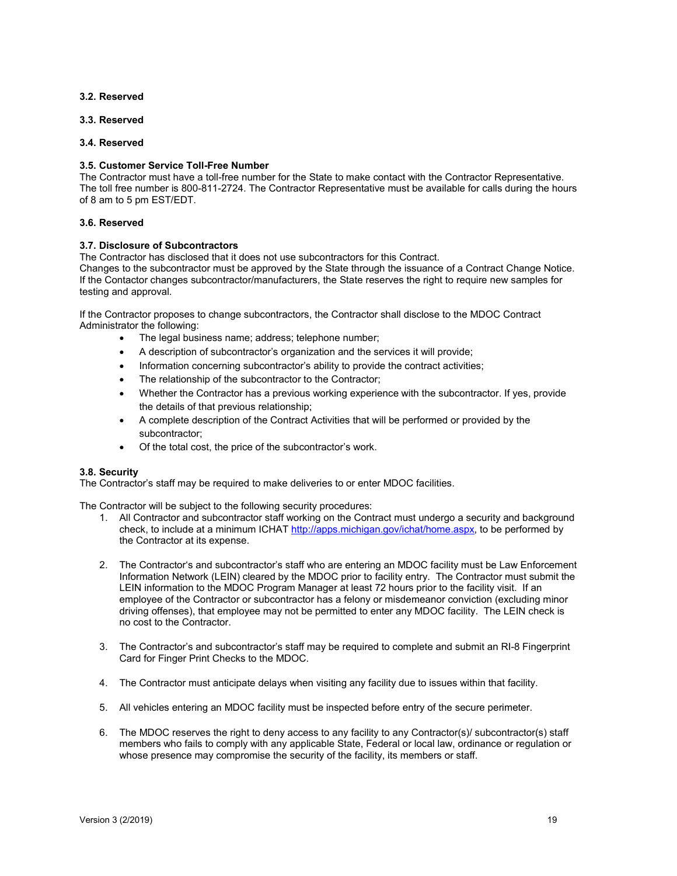## **3.2. Reserved**

**3.3. Reserved**

### **3.4. Reserved**

## **3.5. Customer Service Toll-Free Number**

The Contractor must have a toll-free number for the State to make contact with the Contractor Representative. The toll free number is 800-811-2724. The Contractor Representative must be available for calls during the hours of 8 am to 5 pm EST/EDT.

### **3.6. Reserved**

## **3.7. Disclosure of Subcontractors**

The Contractor has disclosed that it does not use subcontractors for this Contract.

Changes to the subcontractor must be approved by the State through the issuance of a Contract Change Notice. If the Contactor changes subcontractor/manufacturers, the State reserves the right to require new samples for testing and approval.

If the Contractor proposes to change subcontractors, the Contractor shall disclose to the MDOC Contract Administrator the following:

- The legal business name; address; telephone number;
- A description of subcontractor's organization and the services it will provide;
- Information concerning subcontractor's ability to provide the contract activities;
- The relationship of the subcontractor to the Contractor;
- Whether the Contractor has a previous working experience with the subcontractor. If yes, provide the details of that previous relationship;
- A complete description of the Contract Activities that will be performed or provided by the subcontractor;
- Of the total cost, the price of the subcontractor's work.

## **3.8. Security**

The Contractor's staff may be required to make deliveries to or enter MDOC facilities.

The Contractor will be subject to the following security procedures:

- 1. All Contractor and subcontractor staff working on the Contract must undergo a security and background check, to include at a minimum ICHA[T http://apps.michigan.gov/ichat/home.aspx,](http://apps.michigan.gov/ichat/home.aspx) to be performed by the Contractor at its expense.
- 2. The Contractor's and subcontractor's staff who are entering an MDOC facility must be Law Enforcement Information Network (LEIN) cleared by the MDOC prior to facility entry. The Contractor must submit the LEIN information to the MDOC Program Manager at least 72 hours prior to the facility visit. If an employee of the Contractor or subcontractor has a felony or misdemeanor conviction (excluding minor driving offenses), that employee may not be permitted to enter any MDOC facility. The LEIN check is no cost to the Contractor.
- 3. The Contractor's and subcontractor's staff may be required to complete and submit an RI-8 Fingerprint Card for Finger Print Checks to the MDOC.
- 4. The Contractor must anticipate delays when visiting any facility due to issues within that facility.
- 5. All vehicles entering an MDOC facility must be inspected before entry of the secure perimeter.
- 6. The MDOC reserves the right to deny access to any facility to any Contractor(s)/ subcontractor(s) staff members who fails to comply with any applicable State, Federal or local law, ordinance or regulation or whose presence may compromise the security of the facility, its members or staff.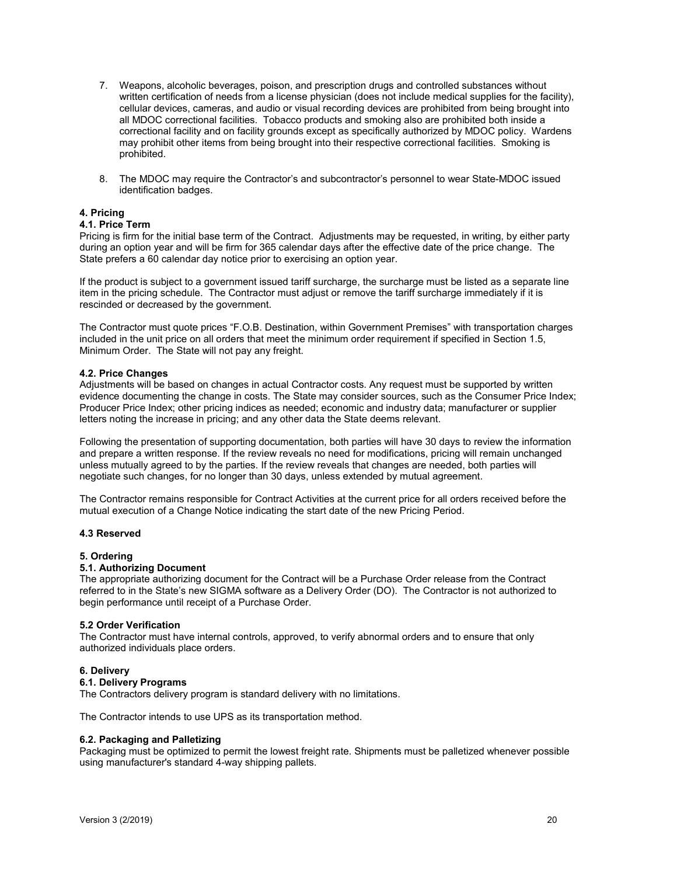- 7. Weapons, alcoholic beverages, poison, and prescription drugs and controlled substances without written certification of needs from a license physician (does not include medical supplies for the facility), cellular devices, cameras, and audio or visual recording devices are prohibited from being brought into all MDOC correctional facilities. Tobacco products and smoking also are prohibited both inside a correctional facility and on facility grounds except as specifically authorized by MDOC policy. Wardens may prohibit other items from being brought into their respective correctional facilities. Smoking is prohibited.
- 8. The MDOC may require the Contractor's and subcontractor's personnel to wear State-MDOC issued identification badges.

### **4. Pricing**

## **4.1. Price Term**

Pricing is firm for the initial base term of the Contract. Adjustments may be requested, in writing, by either party during an option year and will be firm for 365 calendar days after the effective date of the price change. The State prefers a 60 calendar day notice prior to exercising an option year.

If the product is subject to a government issued tariff surcharge, the surcharge must be listed as a separate line item in the pricing schedule. The Contractor must adjust or remove the tariff surcharge immediately if it is rescinded or decreased by the government.

The Contractor must quote prices "F.O.B. Destination, within Government Premises" with transportation charges included in the unit price on all orders that meet the minimum order requirement if specified in Section 1.5, Minimum Order. The State will not pay any freight.

### **4.2. Price Changes**

Adjustments will be based on changes in actual Contractor costs. Any request must be supported by written evidence documenting the change in costs. The State may consider sources, such as the Consumer Price Index; Producer Price Index; other pricing indices as needed; economic and industry data; manufacturer or supplier letters noting the increase in pricing; and any other data the State deems relevant.

Following the presentation of supporting documentation, both parties will have 30 days to review the information and prepare a written response. If the review reveals no need for modifications, pricing will remain unchanged unless mutually agreed to by the parties. If the review reveals that changes are needed, both parties will negotiate such changes, for no longer than 30 days, unless extended by mutual agreement.

The Contractor remains responsible for Contract Activities at the current price for all orders received before the mutual execution of a Change Notice indicating the start date of the new Pricing Period.

#### **4.3 Reserved**

#### **5. Ordering**

## **5.1. Authorizing Document**

The appropriate authorizing document for the Contract will be a Purchase Order release from the Contract referred to in the State's new SIGMA software as a Delivery Order (DO). The Contractor is not authorized to begin performance until receipt of a Purchase Order.

#### **5.2 Order Verification**

The Contractor must have internal controls, approved, to verify abnormal orders and to ensure that only authorized individuals place orders.

#### **6. Delivery**

## **6.1. Delivery Programs**

The Contractors delivery program is standard delivery with no limitations.

The Contractor intends to use UPS as its transportation method.

#### **6.2. Packaging and Palletizing**

Packaging must be optimized to permit the lowest freight rate. Shipments must be palletized whenever possible using manufacturer's standard 4-way shipping pallets.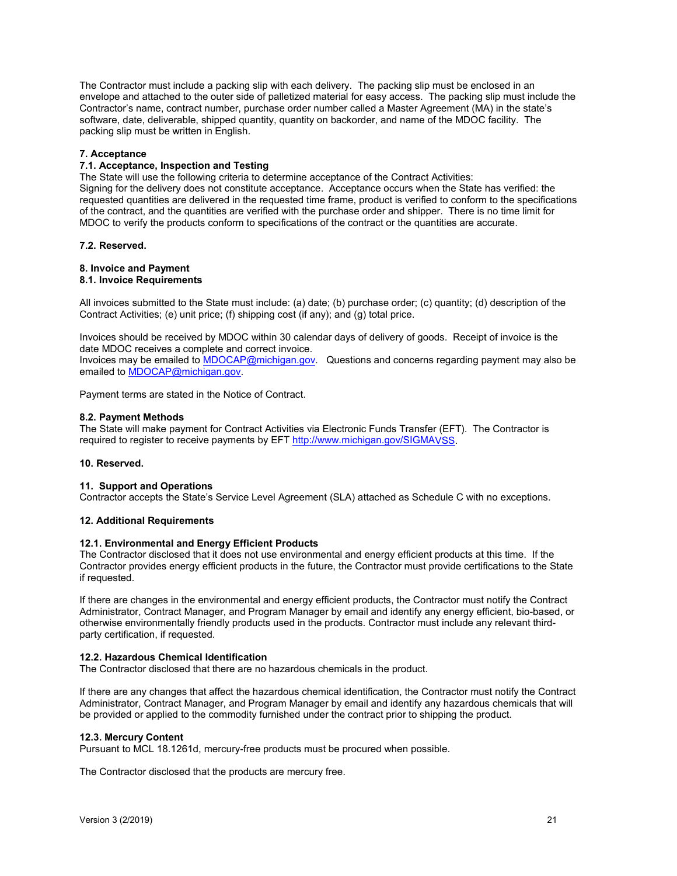The Contractor must include a packing slip with each delivery. The packing slip must be enclosed in an envelope and attached to the outer side of palletized material for easy access. The packing slip must include the Contractor's name, contract number, purchase order number called a Master Agreement (MA) in the state's software, date, deliverable, shipped quantity, quantity on backorder, and name of the MDOC facility. The packing slip must be written in English.

## **7. Acceptance**

## **7.1. Acceptance, Inspection and Testing**

The State will use the following criteria to determine acceptance of the Contract Activities: Signing for the delivery does not constitute acceptance. Acceptance occurs when the State has verified: the requested quantities are delivered in the requested time frame, product is verified to conform to the specifications of the contract, and the quantities are verified with the purchase order and shipper. There is no time limit for

MDOC to verify the products conform to specifications of the contract or the quantities are accurate.

### **7.2. Reserved.**

## **8. Invoice and Payment**

## **8.1. Invoice Requirements**

All invoices submitted to the State must include: (a) date; (b) purchase order; (c) quantity; (d) description of the Contract Activities; (e) unit price; (f) shipping cost (if any); and (g) total price.

Invoices should be received by MDOC within 30 calendar days of delivery of goods. Receipt of invoice is the date MDOC receives a complete and correct invoice.

Invoices may be emailed to **MDOCAP@michigan.gov.** Questions and concerns regarding payment may also be emailed to [MDOCAP@michigan.gov.](mailto:MDOCAP@michigan.gov)

Payment terms are stated in the Notice of Contract.

### **8.2. Payment Methods**

The State will make payment for Contract Activities via Electronic Funds Transfer (EFT). The Contractor is required to register to receive payments by EF[T http://www.michigan.gov/SIGMAV](http://www.michigan.gov/SIGMA)SS.

#### **10. Reserved.**

### **11. Support and Operations**

Contractor accepts the State's Service Level Agreement (SLA) attached as Schedule C with no exceptions.

#### **12. Additional Requirements**

#### **12.1. Environmental and Energy Efficient Products**

The Contractor disclosed that it does not use environmental and energy efficient products at this time. If the Contractor provides energy efficient products in the future, the Contractor must provide certifications to the State if requested.

If there are changes in the environmental and energy efficient products, the Contractor must notify the Contract Administrator, Contract Manager, and Program Manager by email and identify any energy efficient, bio-based, or otherwise environmentally friendly products used in the products. Contractor must include any relevant thirdparty certification, if requested.

#### **12.2. Hazardous Chemical Identification**

The Contractor disclosed that there are no hazardous chemicals in the product.

If there are any changes that affect the hazardous chemical identification, the Contractor must notify the Contract Administrator, Contract Manager, and Program Manager by email and identify any hazardous chemicals that will be provided or applied to the commodity furnished under the contract prior to shipping the product.

#### **12.3. Mercury Content**

Pursuant to MCL 18.1261d, mercury-free products must be procured when possible.

The Contractor disclosed that the products are mercury free.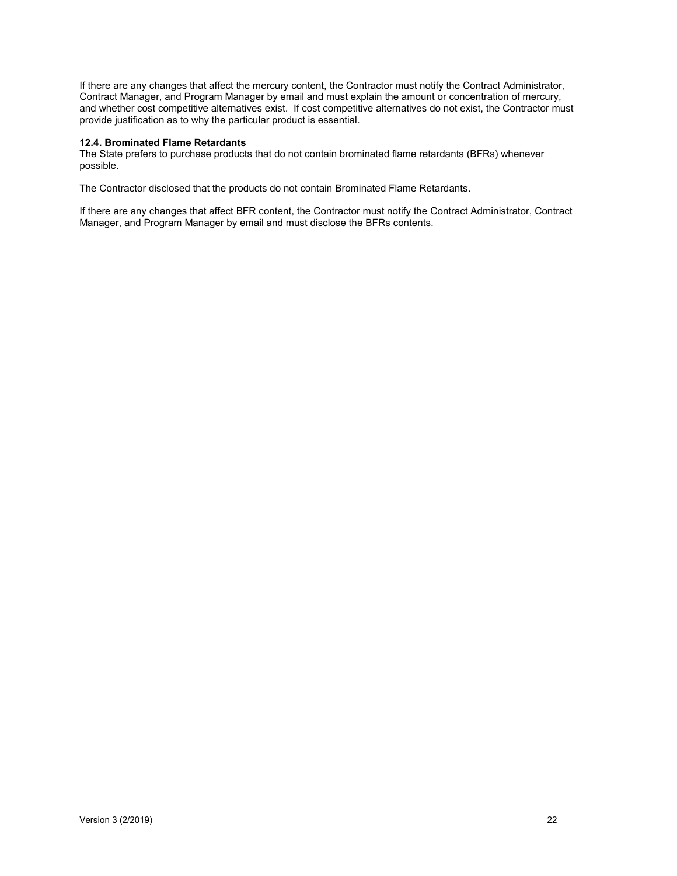If there are any changes that affect the mercury content, the Contractor must notify the Contract Administrator, Contract Manager, and Program Manager by email and must explain the amount or concentration of mercury, and whether cost competitive alternatives exist. If cost competitive alternatives do not exist, the Contractor must provide justification as to why the particular product is essential.

## **12.4. Brominated Flame Retardants**

The State prefers to purchase products that do not contain brominated flame retardants (BFRs) whenever possible.

The Contractor disclosed that the products do not contain Brominated Flame Retardants.

If there are any changes that affect BFR content, the Contractor must notify the Contract Administrator, Contract Manager, and Program Manager by email and must disclose the BFRs contents.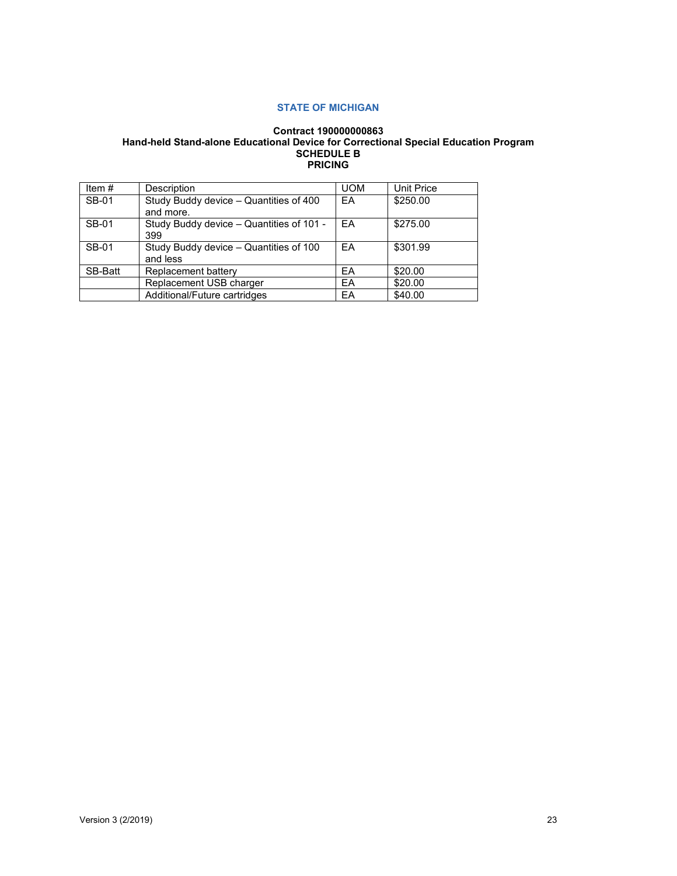## **STATE OF MICHIGAN**

## **Contract 190000000863 Hand-held Stand-alone Educational Device for Correctional Special Education Program SCHEDULE B PRICING**

| Item $#$     | <b>Description</b>                                  | <b>UOM</b> | <b>Unit Price</b> |
|--------------|-----------------------------------------------------|------------|-------------------|
| <b>SB-01</b> | Study Buddy device - Quantities of 400<br>and more. | EA         | \$250.00          |
| SB-01        | Study Buddy device - Quantities of 101 -<br>399     | FA         | \$275.00          |
| <b>SB-01</b> | Study Buddy device - Quantities of 100<br>and less  | FA         | \$301.99          |
| SB-Batt      | Replacement battery                                 | EA         | \$20.00           |
|              | Replacement USB charger                             | EA         | \$20.00           |
|              | Additional/Future cartridges                        | EA         | \$40.00           |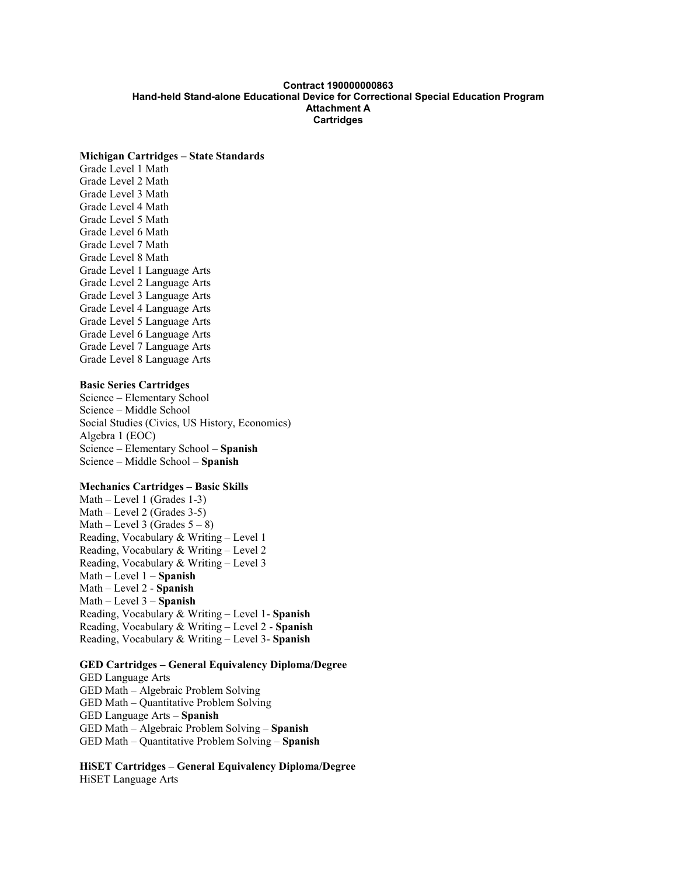## **Contract 190000000863 Hand-held Stand-alone Educational Device for Correctional Special Education Program Attachment A Cartridges**

#### **Michigan Cartridges – State Standards**

Grade Level 1 Math Grade Level 2 Math Grade Level 3 Math Grade Level 4 Math Grade Level 5 Math Grade Level 6 Math Grade Level 7 Math Grade Level 8 Math Grade Level 1 Language Arts Grade Level 2 Language Arts Grade Level 3 Language Arts Grade Level 4 Language Arts Grade Level 5 Language Arts Grade Level 6 Language Arts Grade Level 7 Language Arts Grade Level 8 Language Arts

## **Basic Series Cartridges**

Science – Elementary School Science – Middle School Social Studies (Civics, US History, Economics) Algebra 1 (EOC) Science – Elementary School – **Spanish** Science – Middle School – **Spanish**

## **Mechanics Cartridges – Basic Skills**

Math – Level 1 (Grades 1-3) Math – Level 2 (Grades 3-5) Math – Level 3 (Grades  $5 - 8$ ) Reading, Vocabulary & Writing – Level 1 Reading, Vocabulary & Writing – Level 2 Reading, Vocabulary & Writing – Level 3 Math – Level 1 – **Spanish** Math – Level 2 - **Spanish** Math – Level 3 – **Spanish** Reading, Vocabulary & Writing – Level 1- **Spanish** Reading, Vocabulary & Writing – Level 2 - **Spanish** Reading, Vocabulary & Writing – Level 3- **Spanish**

## **GED Cartridges – General Equivalency Diploma/Degree**

GED Language Arts GED Math – Algebraic Problem Solving GED Math – Quantitative Problem Solving GED Language Arts – **Spanish** GED Math – Algebraic Problem Solving – **Spanish** GED Math – Quantitative Problem Solving – **Spanish**

**HiSET Cartridges – General Equivalency Diploma/Degree** HiSET Language Arts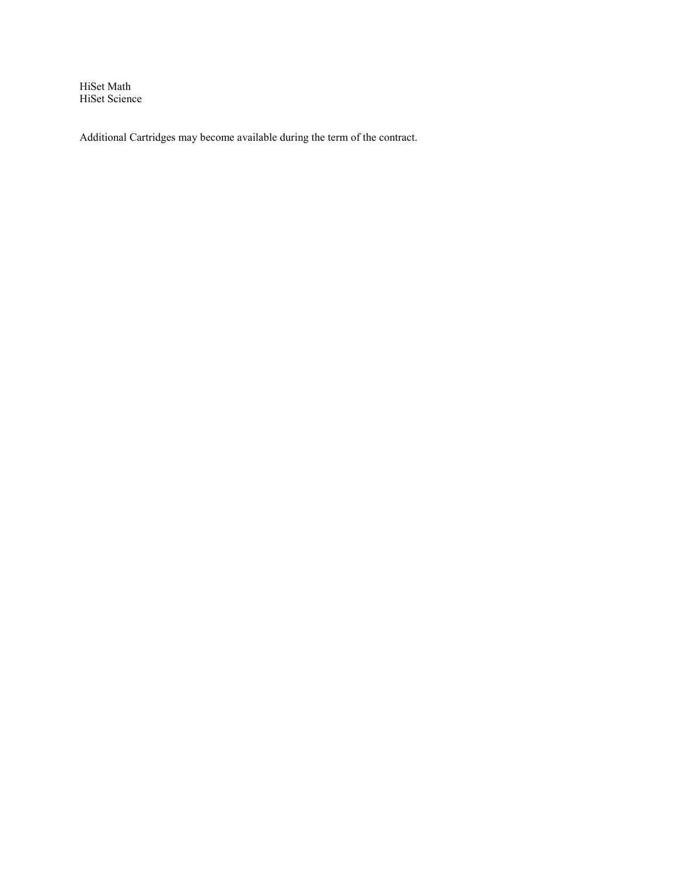HiSet Math HiSet Science

Additional Cartridges may become available during the term of the contract.